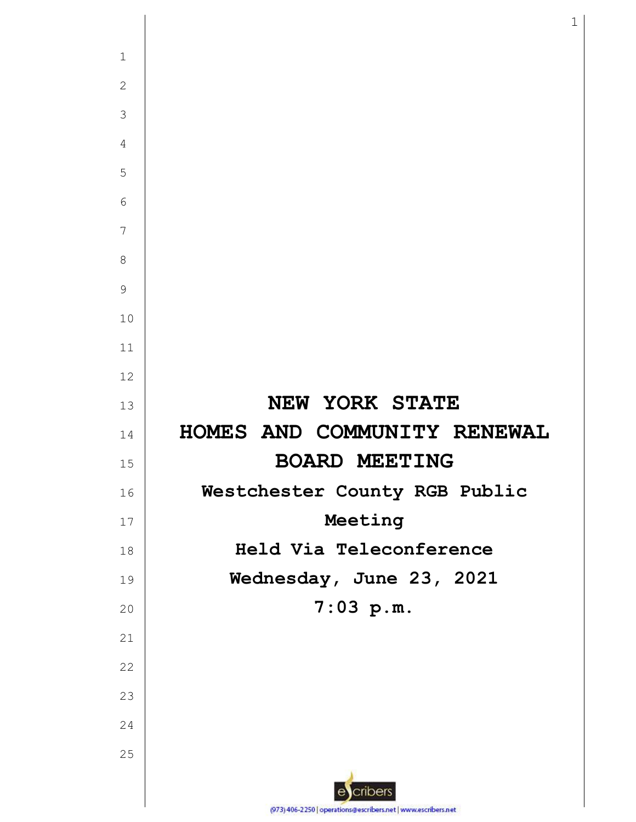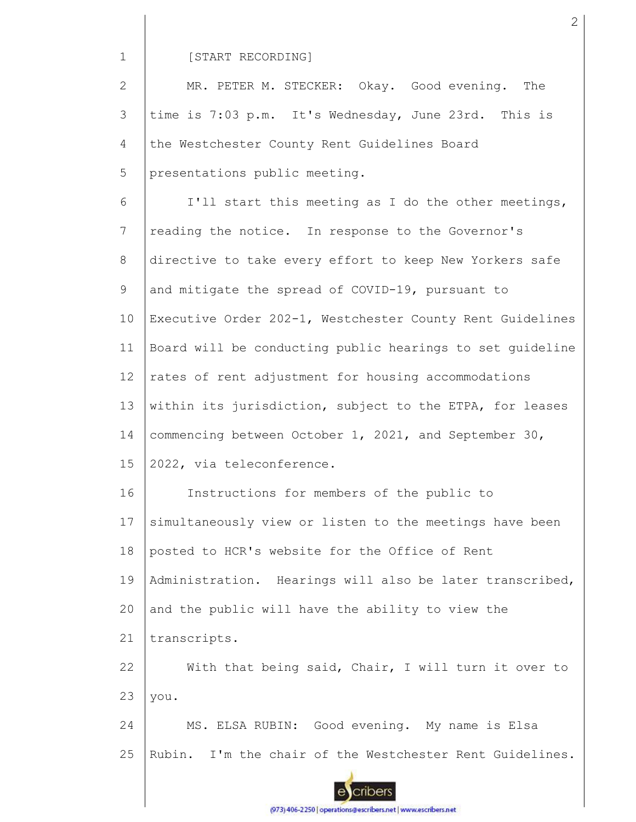#### [START RECORDING]

2 3 4 5 MR. PETER M. STECKER: Okay. Good evening. The time is 7:03 p.m. It's Wednesday, June 23rd. This is the Westchester County Rent Guidelines Board presentations public meeting.

6 7 8 9 10 11 12 13 14 15 16 17 18 19 20 I'll start this meeting as I do the other meetings, reading the notice. In response to the Governor's directive to take every effort to keep New Yorkers safe and mitigate the spread of COVID-19, pursuant to Executive Order 202-1, Westchester County Rent Guidelines Board will be conducting public hearings to set guideline rates of rent adjustment for housing accommodations within its jurisdiction, subject to the ETPA, for leases commencing between October 1, 2021, and September 30, 2022, via teleconference. Instructions for members of the public to simultaneously view or listen to the meetings have been posted to HCR's website for the Office of Rent Administration. Hearings will also be later transcribed, and the public will have the ability to view the

21 transcripts.

22 23 With that being said, Chair, I will turn it over to you.

24 25 MS. ELSA RUBIN: Good evening. My name is Elsa Rubin. I'm the chair of the Westchester Rent Guidelines.

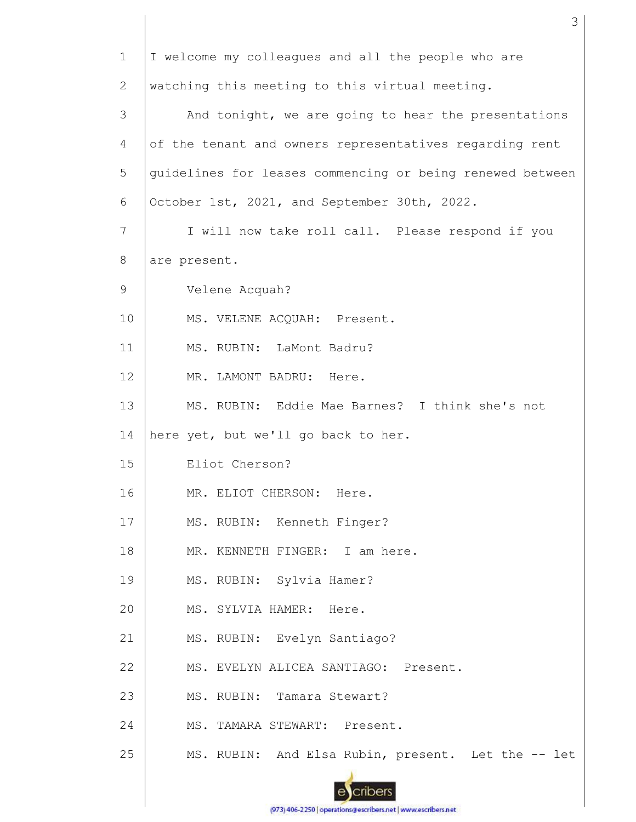| $\mathbf{1}$ | I welcome my colleagues and all the people who are        |
|--------------|-----------------------------------------------------------|
| 2            | watching this meeting to this virtual meeting.            |
| 3            | And tonight, we are going to hear the presentations       |
| 4            | of the tenant and owners representatives regarding rent   |
| 5            | guidelines for leases commencing or being renewed between |
| 6            | October 1st, 2021, and September 30th, 2022.              |
| 7            | I will now take roll call. Please respond if you          |
| 8            | are present.                                              |
| 9            | Velene Acquah?                                            |
| 10           | MS. VELENE ACQUAH: Present.                               |
| 11           | MS. RUBIN: LaMont Badru?                                  |
| 12           | MR. LAMONT BADRU: Here.                                   |
| 13           | MS. RUBIN: Eddie Mae Barnes? I think she's not            |
| 14           | here yet, but we'll go back to her.                       |
| 15           | Eliot Cherson?                                            |
| 16           | MR. ELIOT CHERSON:<br>Here.                               |
| 17           | MS. RUBIN: Kenneth Finger?                                |
| 18           | MR. KENNETH FINGER: I am here.                            |
| 19           | MS. RUBIN: Sylvia Hamer?                                  |
| 20           | MS. SYLVIA HAMER: Here.                                   |
| 21           | MS. RUBIN: Evelyn Santiago?                               |
| 22           | MS. EVELYN ALICEA SANTIAGO: Present.                      |
| 23           | MS. RUBIN: Tamara Stewart?                                |
| 24           | MS. TAMARA STEWART: Present.                              |
| 25           | MS. RUBIN: And Elsa Rubin, present. Let the -- let        |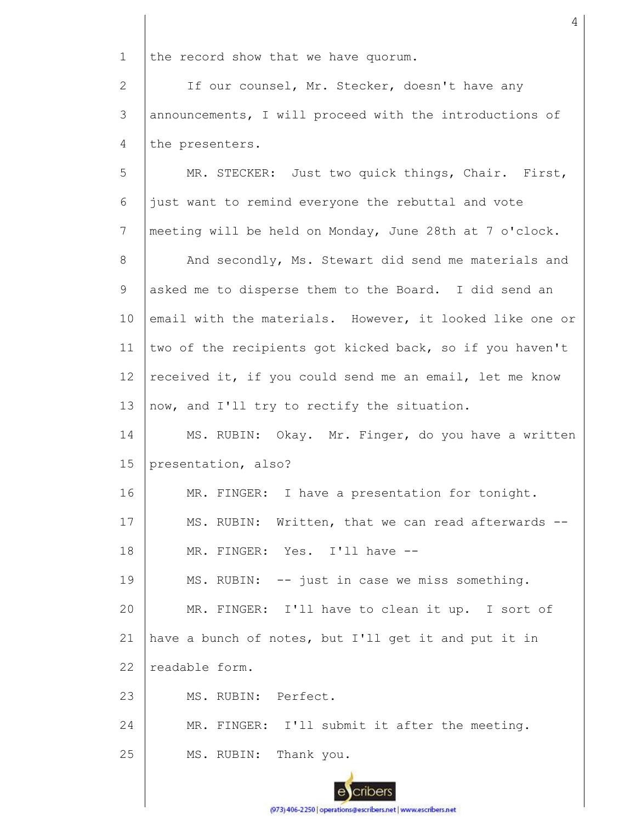1 the record show that we have quorum.

2 3 4 If our counsel, Mr. Stecker, doesn't have any announcements, I will proceed with the introductions of the presenters.

5 6 7 8 9 10 11 12 13 14 15 16 17 18 19 20 21 22 23 24 25 MR. STECKER: Just two quick things, Chair. First, just want to remind everyone the rebuttal and vote meeting will be held on Monday, June 28th at 7 o'clock. And secondly, Ms. Stewart did send me materials and asked me to disperse them to the Board. I did send an email with the materials. However, it looked like one or two of the recipients got kicked back, so if you haven't received it, if you could send me an email, let me know now, and I'll try to rectify the situation. MS. RUBIN: Okay. Mr. Finger, do you have a written presentation, also? MR. FINGER: I have a presentation for tonight. MS. RUBIN: Written, that we can read afterwards --MR. FINGER: Yes. I'll have -- MS. RUBIN: -- just in case we miss something. MR. FINGER: I'll have to clean it up. I sort of have a bunch of notes, but I'll get it and put it in readable form. MS. RUBIN: Perfect. MR. FINGER: I'll submit it after the meeting. MS. RUBIN: Thank you.

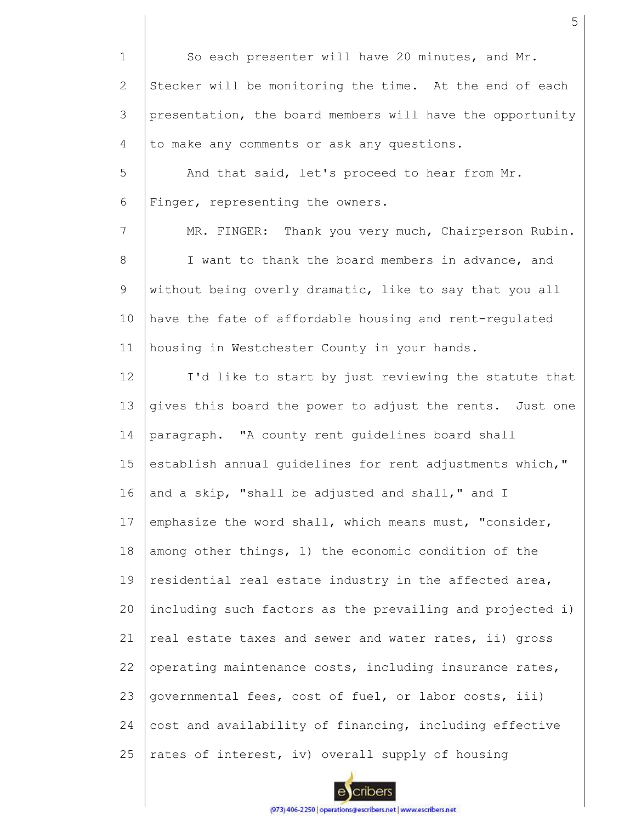1 2 3 4 5 6 7 8 9 10 11 12 13 14 15 16 17 18 19 20 21 22 23 24 25 So each presenter will have 20 minutes, and Mr. Stecker will be monitoring the time. At the end of each presentation, the board members will have the opportunity to make any comments or ask any questions. And that said, let's proceed to hear from Mr. Finger, representing the owners. MR. FINGER: Thank you very much, Chairperson Rubin. I want to thank the board members in advance, and without being overly dramatic, like to say that you all have the fate of affordable housing and rent-regulated housing in Westchester County in your hands. I'd like to start by just reviewing the statute that gives this board the power to adjust the rents. Just one paragraph. "A county rent guidelines board shall establish annual guidelines for rent adjustments which," and a skip, "shall be adjusted and shall," and I emphasize the word shall, which means must, "consider, among other things, 1) the economic condition of the residential real estate industry in the affected area, including such factors as the prevailing and projected i) real estate taxes and sewer and water rates, ii) gross operating maintenance costs, including insurance rates, governmental fees, cost of fuel, or labor costs, iii) cost and availability of financing, including effective rates of interest, iv) overall supply of housing

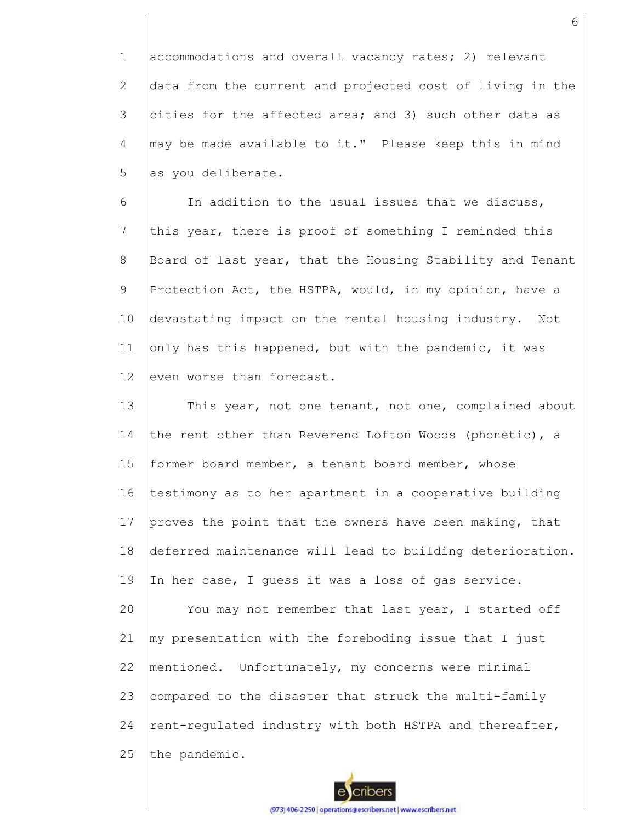1 2 3 4 5 accommodations and overall vacancy rates; 2) relevant data from the current and projected cost of living in the cities for the affected area; and 3) such other data as may be made available to it." Please keep this in mind as you deliberate.

6 7 8 9 10 11 12 In addition to the usual issues that we discuss, this year, there is proof of something I reminded this Board of last year, that the Housing Stability and Tenant Protection Act, the HSTPA, would, in my opinion, have a devastating impact on the rental housing industry. Not only has this happened, but with the pandemic, it was even worse than forecast.

13 14 15 16 17 18 19 20 21 22 23 24 25 This year, not one tenant, not one, complained about the rent other than Reverend Lofton Woods (phonetic), a former board member, a tenant board member, whose testimony as to her apartment in a cooperative building proves the point that the owners have been making, that deferred maintenance will lead to building deterioration. In her case, I quess it was a loss of gas service. You may not remember that last year, I started off my presentation with the foreboding issue that I just mentioned. Unfortunately, my concerns were minimal compared to the disaster that struck the multi-family rent-regulated industry with both HSTPA and thereafter, the pandemic.

6

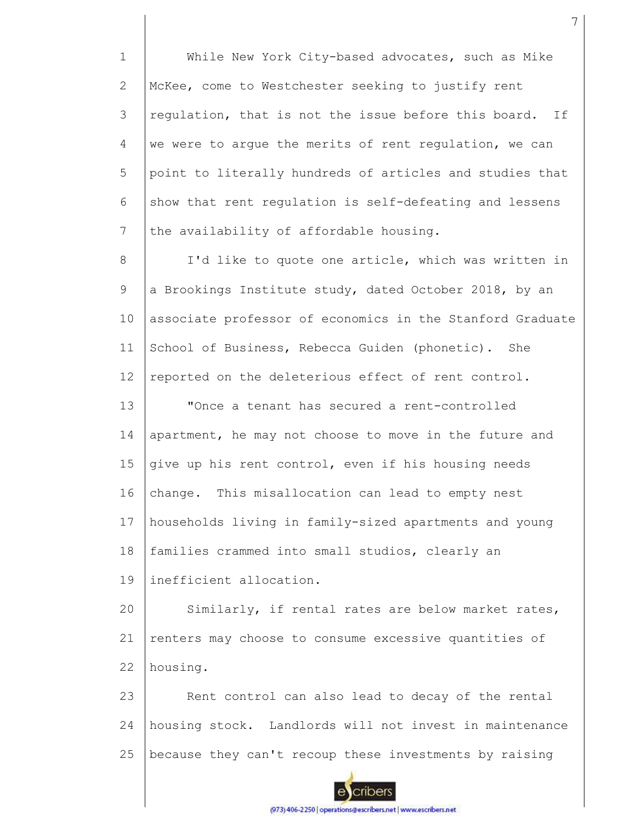1 2 3 4 5 6 7 While New York City-based advocates, such as Mike McKee, come to Westchester seeking to justify rent regulation, that is not the issue before this board. If we were to argue the merits of rent regulation, we can point to literally hundreds of articles and studies that show that rent regulation is self-defeating and lessens the availability of affordable housing.

8 9 10 11 12 I'd like to quote one article, which was written in a Brookings Institute study, dated October 2018, by an associate professor of economics in the Stanford Graduate School of Business, Rebecca Guiden (phonetic). She reported on the deleterious effect of rent control.

13 14 15 16 17 18 "Once a tenant has secured a rent-controlled apartment, he may not choose to move in the future and give up his rent control, even if his housing needs change. This misallocation can lead to empty nest households living in family-sized apartments and young families crammed into small studios, clearly an

19 inefficient allocation.

20 21 22 Similarly, if rental rates are below market rates, renters may choose to consume excessive quantities of housing.

23 24 25 Rent control can also lead to decay of the rental housing stock. Landlords will not invest in maintenance because they can't recoup these investments by raising

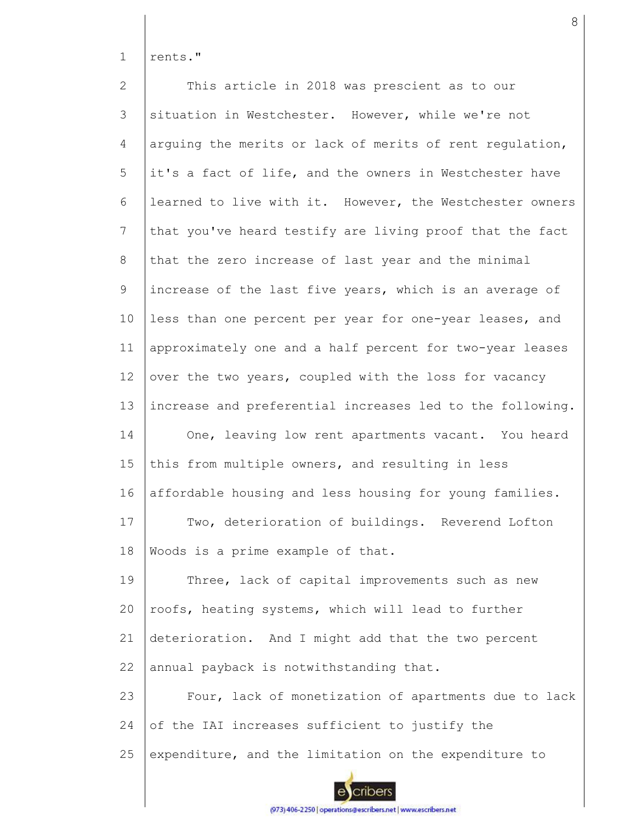1 rents."

2 3 4 5 6 7 8 9 10 11 12 13 14 15 16 17 18 19  $20$ 21 22 23 24 25 This article in 2018 was prescient as to our situation in Westchester. However, while we're not arguing the merits or lack of merits of rent regulation, it's a fact of life, and the owners in Westchester have learned to live with it. However, the Westchester owners that you've heard testify are living proof that the fact that the zero increase of last year and the minimal increase of the last five years, which is an average of less than one percent per year for one-year leases, and approximately one and a half percent for two-year leases over the two years, coupled with the loss for vacancy increase and preferential increases led to the following. One, leaving low rent apartments vacant. You heard this from multiple owners, and resulting in less affordable housing and less housing for young families. Two, deterioration of buildings. Reverend Lofton Woods is a prime example of that. Three, lack of capital improvements such as new roofs, heating systems, which will lead to further deterioration. And I might add that the two percent annual payback is notwithstanding that. Four, lack of monetization of apartments due to lack of the IAI increases sufficient to justify the expenditure, and the limitation on the expenditure to

cribers

(973) 406-2250 | operations@escribers.net | www.escribers.net

8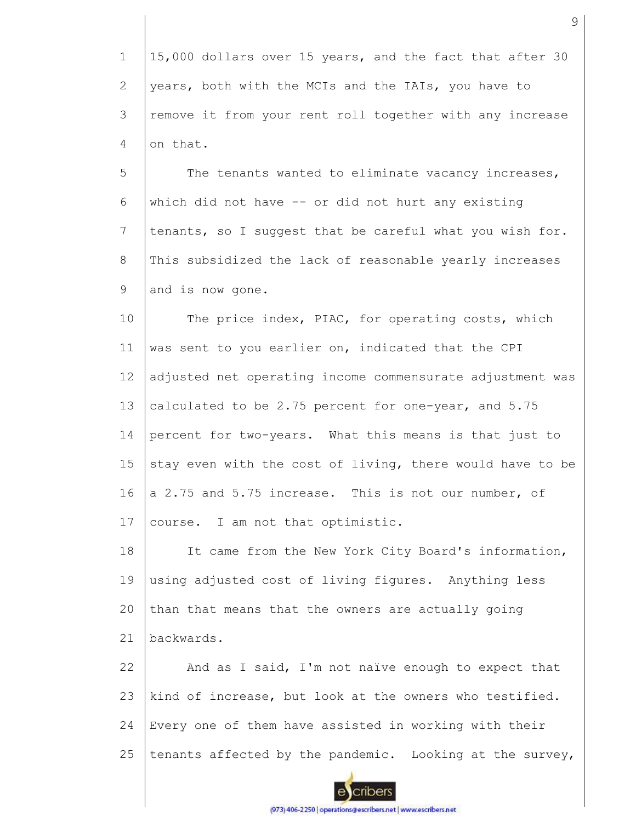1 2 3 4 15,000 dollars over 15 years, and the fact that after 30 years, both with the MCIs and the IAIs, you have to remove it from your rent roll together with any increase on that.

5 6 7 8 9 The tenants wanted to eliminate vacancy increases, which did not have -- or did not hurt any existing tenants, so I suggest that be careful what you wish for. This subsidized the lack of reasonable yearly increases and is now gone.

10 11 12 13 14 15 16 17 The price index, PIAC, for operating costs, which was sent to you earlier on, indicated that the CPI adjusted net operating income commensurate adjustment was calculated to be 2.75 percent for one-year, and 5.75 percent for two-years. What this means is that just to stay even with the cost of living, there would have to be a 2.75 and 5.75 increase. This is not our number, of course. I am not that optimistic.

18 19 20 21 It came from the New York City Board's information, using adjusted cost of living figures. Anything less than that means that the owners are actually going backwards.

22 23 24 25 And as I said, I'm not naïve enough to expect that kind of increase, but look at the owners who testified. Every one of them have assisted in working with their tenants affected by the pandemic. Looking at the survey,



(973) 406-2250 | operations@escribers.net | www.escribers.net

9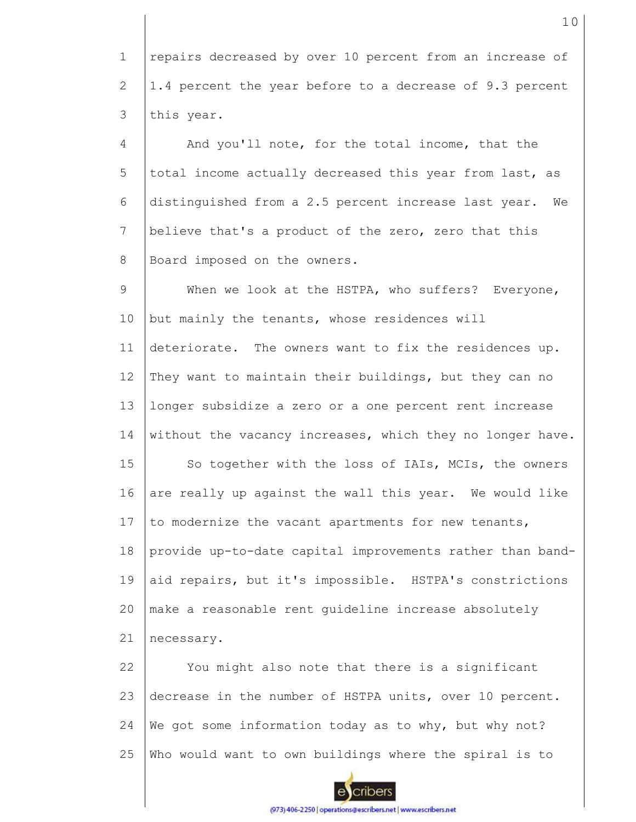1 2 3 repairs decreased by over 10 percent from an increase of 1.4 percent the year before to a decrease of 9.3 percent this year.

4 5 6 7 8 And you'll note, for the total income, that the total income actually decreased this year from last, as distinguished from a 2.5 percent increase last year. We believe that's a product of the zero, zero that this Board imposed on the owners.

9 10 11 12 13 14 15 16 17 18 19  $20$ 21 When we look at the HSTPA, who suffers? Everyone, but mainly the tenants, whose residences will deteriorate. The owners want to fix the residences up. They want to maintain their buildings, but they can no longer subsidize a zero or a one percent rent increase without the vacancy increases, which they no longer have. So together with the loss of IAIs, MCIs, the owners are really up against the wall this year. We would like to modernize the vacant apartments for new tenants, provide up-to-date capital improvements rather than bandaid repairs, but it's impossible. HSTPA's constrictions make a reasonable rent guideline increase absolutely necessary.

22 23 24 25 You might also note that there is a significant decrease in the number of HSTPA units, over 10 percent. We got some information today as to why, but why not? Who would want to own buildings where the spiral is to

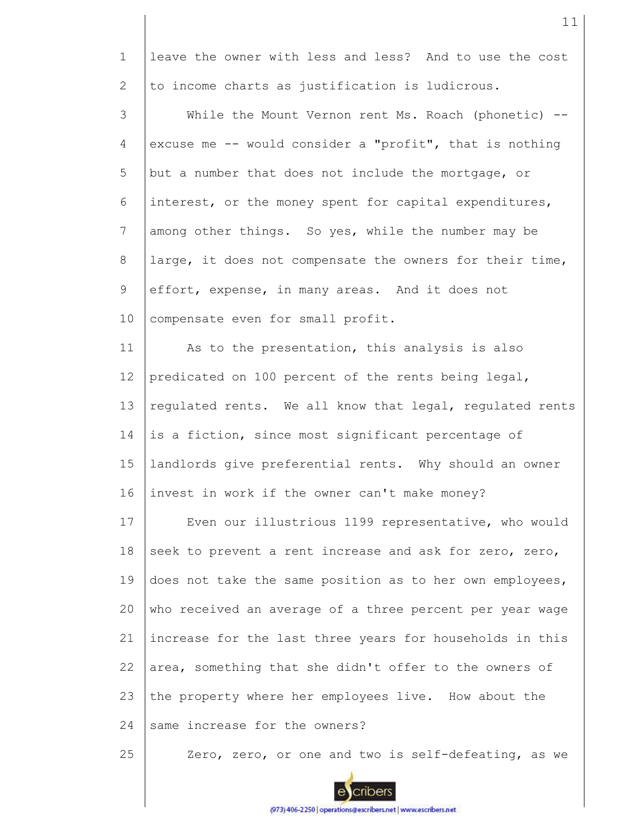1 2 leave the owner with less and less? And to use the cost to income charts as justification is ludicrous.

3 4 5 6 7 8 9 10 While the Mount Vernon rent Ms. Roach (phonetic) -excuse me -- would consider a "profit", that is nothing but a number that does not include the mortgage, or interest, or the money spent for capital expenditures, among other things. So yes, while the number may be large, it does not compensate the owners for their time, effort, expense, in many areas. And it does not compensate even for small profit.

11 12 13 14 15 16 As to the presentation, this analysis is also predicated on 100 percent of the rents being legal, regulated rents. We all know that legal, regulated rents is a fiction, since most significant percentage of landlords give preferential rents. Why should an owner invest in work if the owner can't make money?

17 18 19 20 21 22 23 24 Even our illustrious 1199 representative, who would seek to prevent a rent increase and ask for zero, zero, does not take the same position as to her own employees, who received an average of a three percent per year wage increase for the last three years for households in this area, something that she didn't offer to the owners of the property where her employees live. How about the same increase for the owners?

25 Zero, zero, or one and two is self-defeating, as we



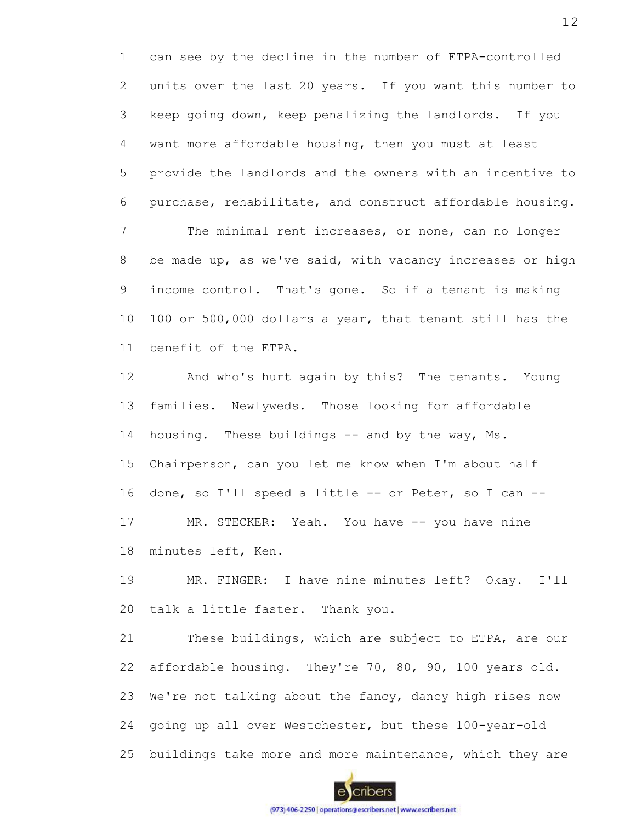1 2 3 4 5 6 7 8 9 10 11 12 13 can see by the decline in the number of ETPA-controlled units over the last 20 years. If you want this number to keep going down, keep penalizing the landlords. If you want more affordable housing, then you must at least provide the landlords and the owners with an incentive to purchase, rehabilitate, and construct affordable housing. The minimal rent increases, or none, can no longer be made up, as we've said, with vacancy increases or high income control. That's gone. So if a tenant is making 100 or 500,000 dollars a year, that tenant still has the benefit of the ETPA. And who's hurt again by this? The tenants. Young families. Newlyweds. Those looking for affordable

14 15 16 17 18 housing. These buildings -- and by the way, Ms. Chairperson, can you let me know when I'm about half done, so I'll speed a little -- or Peter, so I can -- MR. STECKER: Yeah. You have -- you have nine minutes left, Ken.

19 20 MR. FINGER: I have nine minutes left? Okay. I'll talk a little faster. Thank you.

21 22 23 24 25 These buildings, which are subject to ETPA, are our affordable housing. They're 70, 80, 90, 100 years old. We're not talking about the fancy, dancy high rises now going up all over Westchester, but these 100-year-old buildings take more and more maintenance, which they are

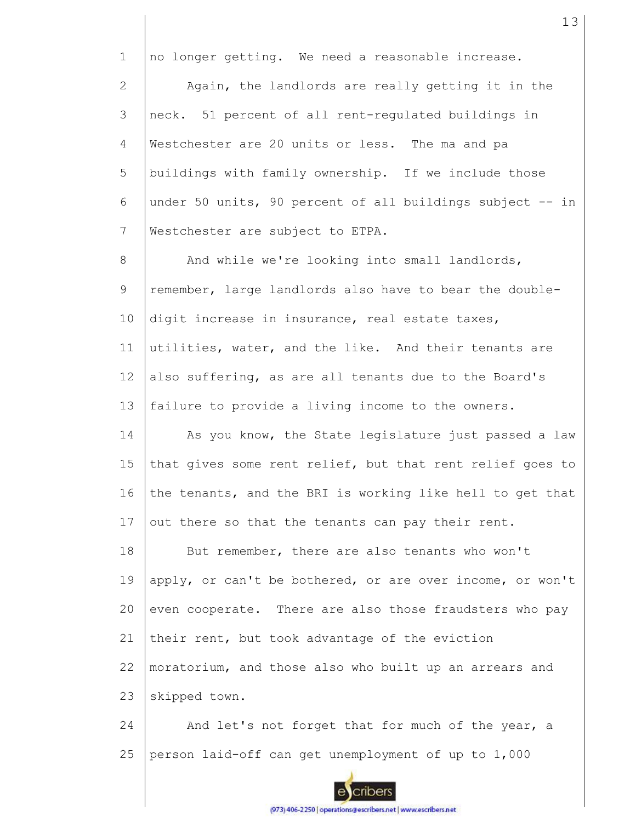1 2 3 4 5 6 7 8 9 10 11 12 13 14 15 16 17 18 19 20 21 22 23 24 25 no longer getting. We need a reasonable increase. Again, the landlords are really getting it in the neck. 51 percent of all rent-regulated buildings in Westchester are 20 units or less. The ma and pa buildings with family ownership. If we include those under 50 units, 90 percent of all buildings subject -- in Westchester are subject to ETPA. And while we're looking into small landlords, remember, large landlords also have to bear the doubledigit increase in insurance, real estate taxes, utilities, water, and the like. And their tenants are also suffering, as are all tenants due to the Board's failure to provide a living income to the owners. As you know, the State legislature just passed a law that gives some rent relief, but that rent relief goes to the tenants, and the BRI is working like hell to get that out there so that the tenants can pay their rent. But remember, there are also tenants who won't apply, or can't be bothered, or are over income, or won't even cooperate. There are also those fraudsters who pay their rent, but took advantage of the eviction moratorium, and those also who built up an arrears and skipped town. And let's not forget that for much of the year, a person laid-off can get unemployment of up to 1,000

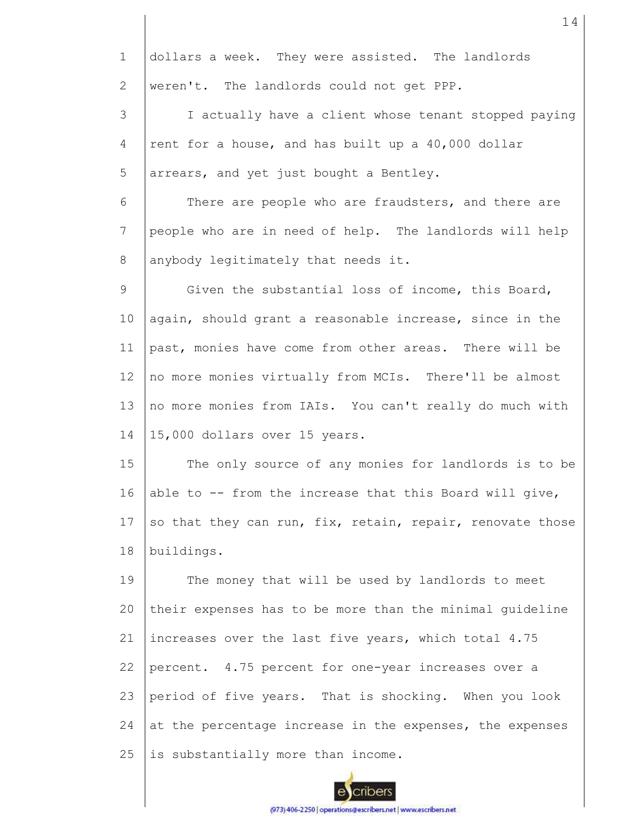| $\mathbf 1$    | dollars a week. They were assisted. The landlords         |
|----------------|-----------------------------------------------------------|
| $\overline{2}$ | weren't. The landlords could not get PPP.                 |
| 3              | I actually have a client whose tenant stopped paying      |
| $\overline{4}$ | rent for a house, and has built up a 40,000 dollar        |
| 5              | arrears, and yet just bought a Bentley.                   |
| 6              | There are people who are fraudsters, and there are        |
| 7              | people who are in need of help. The landlords will help   |
| 8              | anybody legitimately that needs it.                       |
| 9              | Given the substantial loss of income, this Board,         |
| 10             | again, should grant a reasonable increase, since in the   |
| 11             | past, monies have come from other areas. There will be    |
| 12             | no more monies virtually from MCIs. There'll be almost    |
| 13             | no more monies from IAIs. You can't really do much with   |
| 14             | 15,000 dollars over 15 years.                             |
| 15             | The only source of any monies for landlords is to be      |
| 16             | able to -- from the increase that this Board will give,   |
| 17             | so that they can run, fix, retain, repair, renovate those |
| 18             | buildings.                                                |
| 19             | The money that will be used by landlords to meet          |
| 20             | their expenses has to be more than the minimal guideline  |
| 21             | increases over the last five years, which total 4.75      |
| 22             | percent. 4.75 percent for one-year increases over a       |
| 23             | period of five years. That is shocking. When you look     |
| 24             | at the percentage increase in the expenses, the expenses  |
| 25             | is substantially more than income.                        |
|                |                                                           |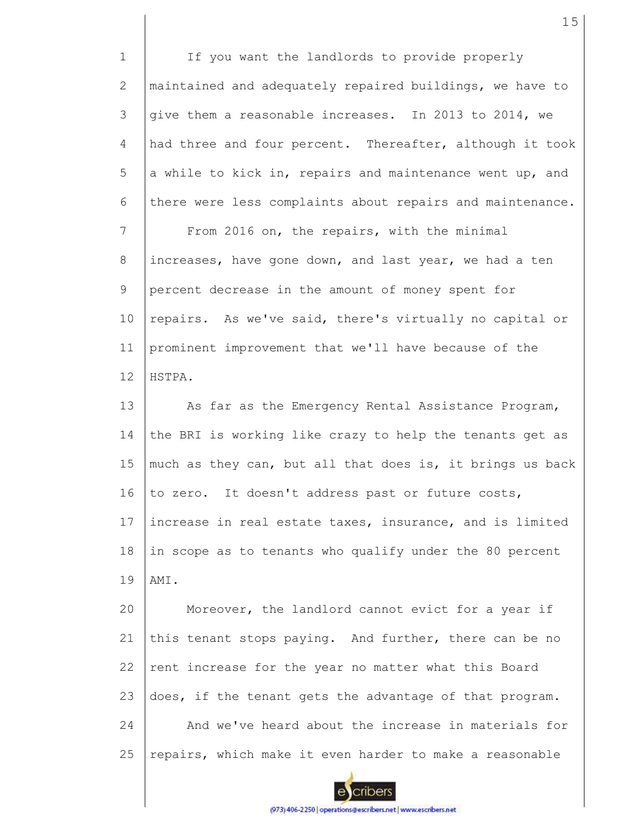1 2 3 4 5 6 7 8 9 10 11 12 13 14 15 16 17 18 19 20 21 22 23 24 25 If you want the landlords to provide properly maintained and adequately repaired buildings, we have to give them a reasonable increases. In 2013 to 2014, we had three and four percent. Thereafter, although it took a while to kick in, repairs and maintenance went up, and there were less complaints about repairs and maintenance. From 2016 on, the repairs, with the minimal increases, have gone down, and last year, we had a ten percent decrease in the amount of money spent for repairs. As we've said, there's virtually no capital or prominent improvement that we'll have because of the HSTPA. As far as the Emergency Rental Assistance Program, the BRI is working like crazy to help the tenants get as much as they can, but all that does is, it brings us back to zero. It doesn't address past or future costs, increase in real estate taxes, insurance, and is limited in scope as to tenants who qualify under the 80 percent AMI. Moreover, the landlord cannot evict for a year if this tenant stops paying. And further, there can be no rent increase for the year no matter what this Board does, if the tenant gets the advantage of that program. And we've heard about the increase in materials for repairs, which make it even harder to make a reasonable

cribers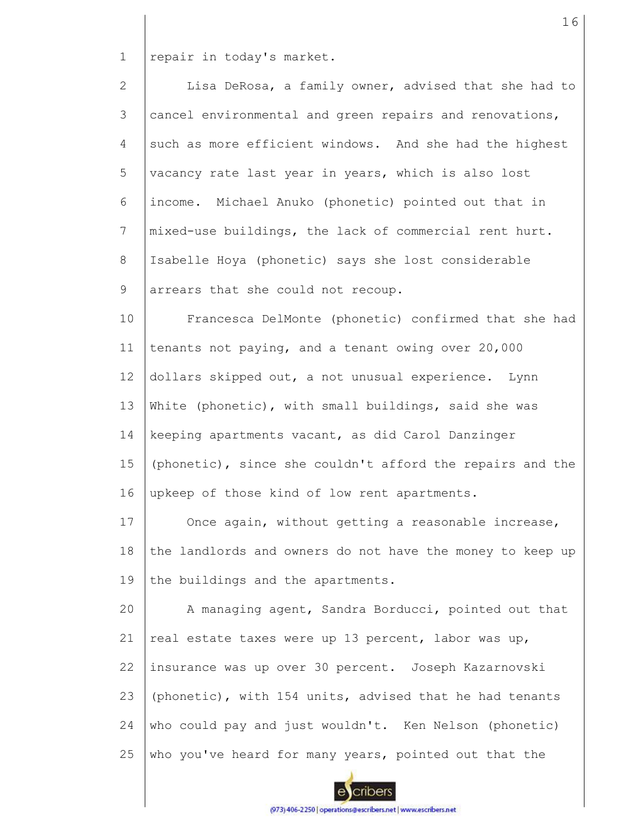1 repair in today's market.

| $\overline{2}$  | Lisa DeRosa, a family owner, advised that she had to      |
|-----------------|-----------------------------------------------------------|
| 3               | cancel environmental and green repairs and renovations,   |
| 4               | such as more efficient windows. And she had the highest   |
| 5               | vacancy rate last year in years, which is also lost       |
| 6               | income. Michael Anuko (phonetic) pointed out that in      |
| $7\phantom{.0}$ | mixed-use buildings, the lack of commercial rent hurt.    |
| 8               | Isabelle Hoya (phonetic) says she lost considerable       |
| 9               | arrears that she could not recoup.                        |
| 10              | Francesca DelMonte (phonetic) confirmed that she had      |
| 11              | tenants not paying, and a tenant owing over 20,000        |
| 12              | dollars skipped out, a not unusual experience. Lynn       |
| 13              | White (phonetic), with small buildings, said she was      |
| 14              | keeping apartments vacant, as did Carol Danzinger         |
| 15              | (phonetic), since she couldn't afford the repairs and the |
| 16              | upkeep of those kind of low rent apartments.              |
| 17              | Once again, without getting a reasonable increase,        |
| 18              | the landlords and owners do not have the money to keep up |
| 19              | the buildings and the apartments.                         |
| 20              | A managing agent, Sandra Borducci, pointed out that       |
| 21              | real estate taxes were up 13 percent, labor was up,       |

22 insurance was up over 30 percent. Joseph Kazarnovski

23 (phonetic), with 154 units, advised that he had tenants

24 who could pay and just wouldn't. Ken Nelson (phonetic)

25 who you've heard for many years, pointed out that the

16

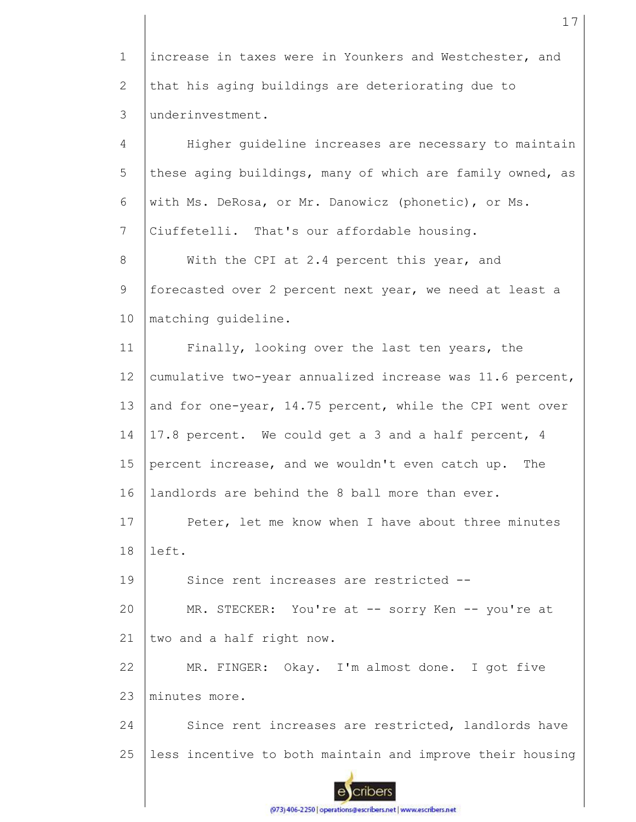1 2 3 increase in taxes were in Younkers and Westchester, and that his aging buildings are deteriorating due to underinvestment.

4 5 6 7 8 9 10 11 12 13 14 15 16 17 18 19 20 21 22 23 24 25 Higher guideline increases are necessary to maintain these aging buildings, many of which are family owned, as with Ms. DeRosa, or Mr. Danowicz (phonetic), or Ms. Ciuffetelli. That's our affordable housing. With the CPI at 2.4 percent this year, and forecasted over 2 percent next year, we need at least a matching guideline. Finally, looking over the last ten years, the cumulative two-year annualized increase was 11.6 percent, and for one-year, 14.75 percent, while the CPI went over 17.8 percent. We could get a 3 and a half percent, 4 percent increase, and we wouldn't even catch up. The landlords are behind the 8 ball more than ever. Peter, let me know when I have about three minutes left. Since rent increases are restricted -- MR. STECKER: You're at -- sorry Ken -- you're at two and a half right now. MR. FINGER: Okay. I'm almost done. I got five minutes more. Since rent increases are restricted, landlords have less incentive to both maintain and improve their housing

cribers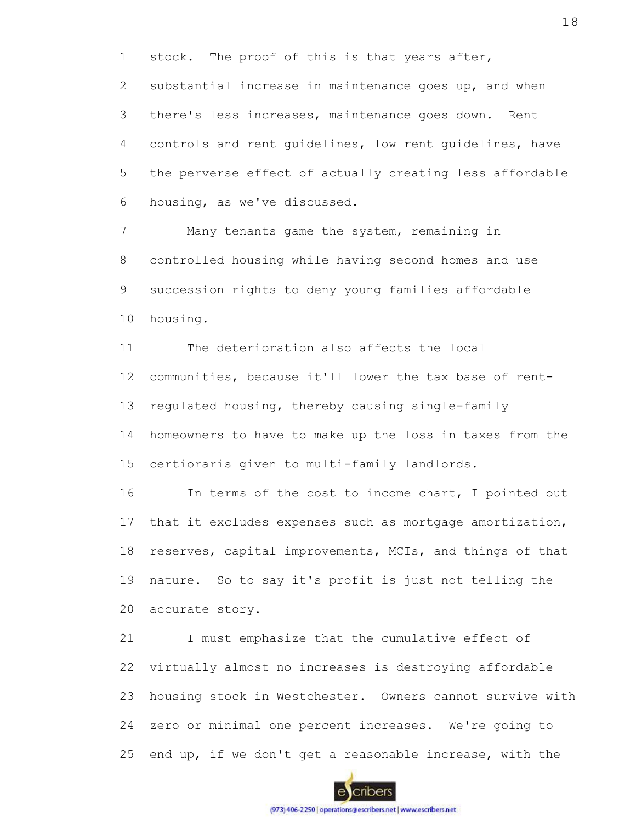1 2 3 4 5 6 7 8 9 10 11 12 13 14 15 16 17 18 19 20 21 22 23 24 stock. The proof of this is that years after, substantial increase in maintenance goes up, and when there's less increases, maintenance goes down. Rent controls and rent guidelines, low rent guidelines, have the perverse effect of actually creating less affordable housing, as we've discussed. Many tenants game the system, remaining in controlled housing while having second homes and use succession rights to deny young families affordable housing. The deterioration also affects the local communities, because it'll lower the tax base of rentregulated housing, thereby causing single-family homeowners to have to make up the loss in taxes from the certioraris given to multi-family landlords. In terms of the cost to income chart, I pointed out that it excludes expenses such as mortgage amortization, reserves, capital improvements, MCIs, and things of that nature. So to say it's profit is just not telling the accurate story. I must emphasize that the cumulative effect of virtually almost no increases is destroying affordable housing stock in Westchester. Owners cannot survive with zero or minimal one percent increases. We're going to

25 end up, if we don't get a reasonable increase, with the

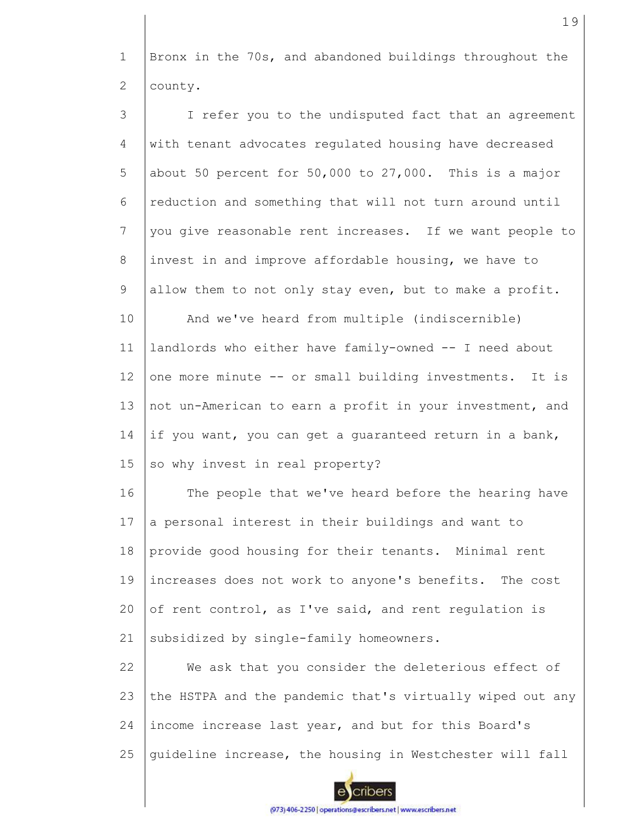1 2 Bronx in the 70s, and abandoned buildings throughout the county.

3 4 5 6 7 8 9 10 11 12 13 14 15 16 17 18 19 20 21 I refer you to the undisputed fact that an agreement with tenant advocates regulated housing have decreased about 50 percent for 50,000 to 27,000. This is a major reduction and something that will not turn around until you give reasonable rent increases. If we want people to invest in and improve affordable housing, we have to allow them to not only stay even, but to make a profit. And we've heard from multiple (indiscernible) landlords who either have family-owned -- I need about one more minute -- or small building investments. It is not un-American to earn a profit in your investment, and if you want, you can get a guaranteed return in a bank, so why invest in real property? The people that we've heard before the hearing have a personal interest in their buildings and want to provide good housing for their tenants. Minimal rent increases does not work to anyone's benefits. The cost of rent control, as I've said, and rent regulation is subsidized by single-family homeowners.

22 23 24 25 We ask that you consider the deleterious effect of the HSTPA and the pandemic that's virtually wiped out any income increase last year, and but for this Board's guideline increase, the housing in Westchester will fall

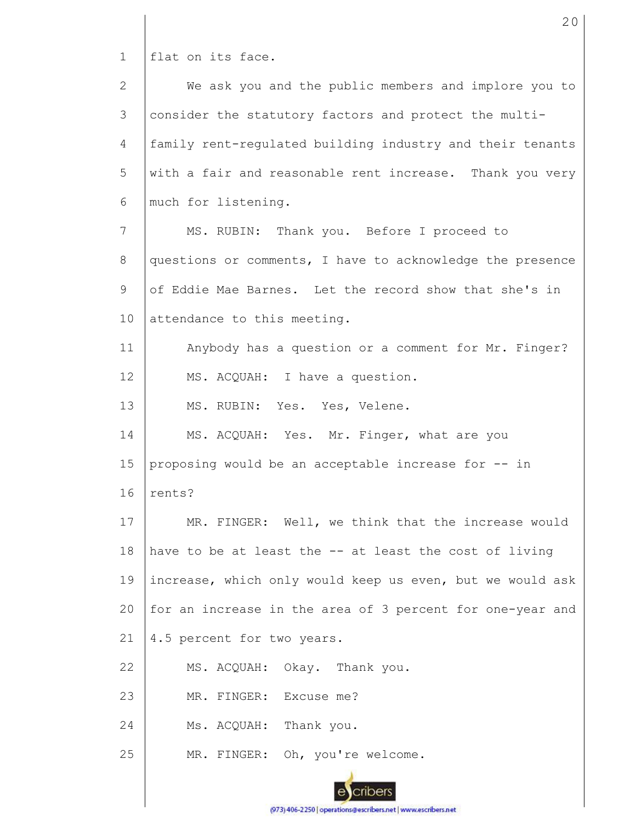1 | flat on its face.

| $\mathbf{2}$ | We ask you and the public members and implore you to      |
|--------------|-----------------------------------------------------------|
| 3            | consider the statutory factors and protect the multi-     |
| 4            | family rent-requlated building industry and their tenants |
| 5            | with a fair and reasonable rent increase. Thank you very  |
| 6            | much for listening.                                       |
| 7            | MS. RUBIN: Thank you. Before I proceed to                 |
| 8            | questions or comments, I have to acknowledge the presence |
| 9            | of Eddie Mae Barnes. Let the record show that she's in    |
| 10           | attendance to this meeting.                               |
| 11           | Anybody has a question or a comment for Mr. Finger?       |
| 12           | MS. ACQUAH: I have a question.                            |
| 13           | MS. RUBIN: Yes. Yes, Velene.                              |
| 14           | MS. ACQUAH: Yes. Mr. Finger, what are you                 |
| 15           | proposing would be an acceptable increase for -- in       |
| 16           | rents?                                                    |
| 17           | MR. FINGER: Well, we think that the increase would        |
| 18           | have to be at least the -- at least the cost of living    |
| 19           | increase, which only would keep us even, but we would ask |
| 20           | for an increase in the area of 3 percent for one-year and |
| 21           | 4.5 percent for two years.                                |
| 22           | MS. ACQUAH: Okay. Thank you.                              |
| 23           | MR. FINGER: Excuse me?                                    |
| 24           | Ms. ACQUAH: Thank you.                                    |
| 25           | MR. FINGER: Oh, you're welcome.                           |
|              |                                                           |

20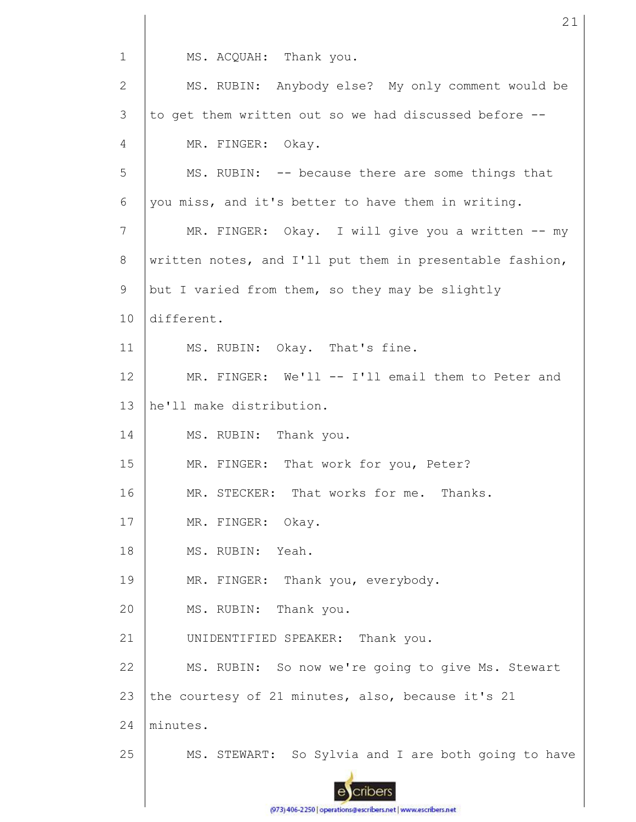1 MS. ACQUAH: Thank you. MS. RUBIN: Anybody else? My only comment would be 2 3 to get them written out so we had discussed before -- 4 MR. FINGER: Okay. 5 MS. RUBIN: -- because there are some things that 6 you miss, and it's better to have them in writing. 7 MR. FINGER: Okay. I will give you a written -- my written notes, and I'll put them in presentable fashion, 8 9 but I varied from them, so they may be slightly 10 different. 11 MS. RUBIN: Okay. That's fine. 12 MR. FINGER: We'll -- I'll email them to Peter and 13 he'll make distribution. 14 MS. RUBIN: Thank you. 15 MR. FINGER: That work for you, Peter? 16 MR. STECKER: That works for me. Thanks. MR. FINGER: Okay. 17 18 MS. RUBIN: Yeah. 19 MR. FINGER: Thank you, everybody. 20 MS. RUBIN: Thank you. 21 UNIDENTIFIED SPEAKER: Thank you. 22 MS. RUBIN: So now we're going to give Ms. Stewart 23 the courtesy of 21 minutes, also, because it's 21 24 minutes. 25 MS. STEWART: So Sylvia and I are both going to have cribers

21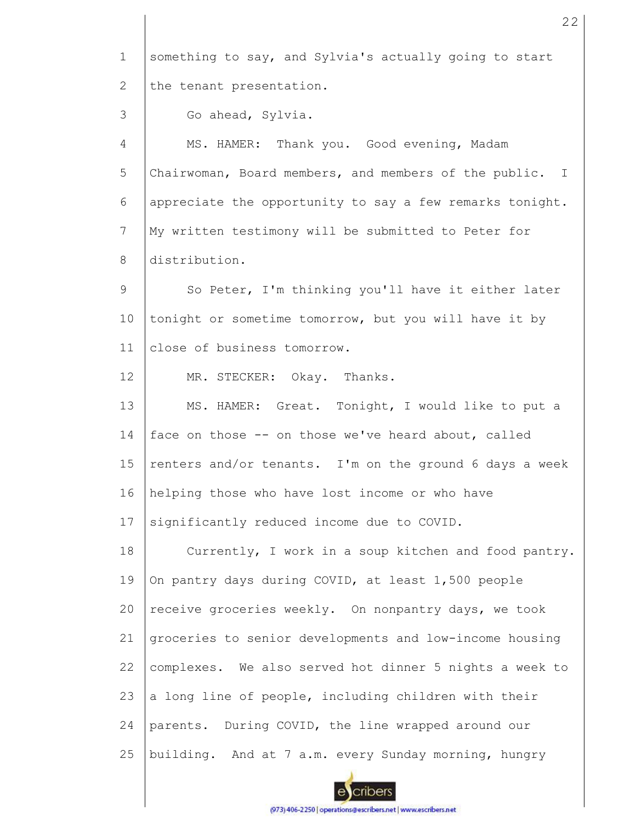1 2 3 4 5 6 7 8 9 10 11 12 13 14 15 16 17 18 19 20 21 22 23 24 25 something to say, and Sylvia's actually going to start the tenant presentation. Go ahead, Sylvia. MS. HAMER: Thank you. Good evening, Madam Chairwoman, Board members, and members of the public. I appreciate the opportunity to say a few remarks tonight. My written testimony will be submitted to Peter for distribution. So Peter, I'm thinking you'll have it either later tonight or sometime tomorrow, but you will have it by close of business tomorrow. MR. STECKER: Okay. Thanks. MS. HAMER: Great. Tonight, I would like to put a face on those -- on those we've heard about, called renters and/or tenants. I'm on the ground 6 days a week helping those who have lost income or who have significantly reduced income due to COVID. Currently, I work in a soup kitchen and food pantry. On pantry days during COVID, at least 1,500 people receive groceries weekly. On nonpantry days, we took groceries to senior developments and low-income housing complexes. We also served hot dinner 5 nights a week to a long line of people, including children with their parents. During COVID, the line wrapped around our building. And at 7 a.m. every Sunday morning, hungry

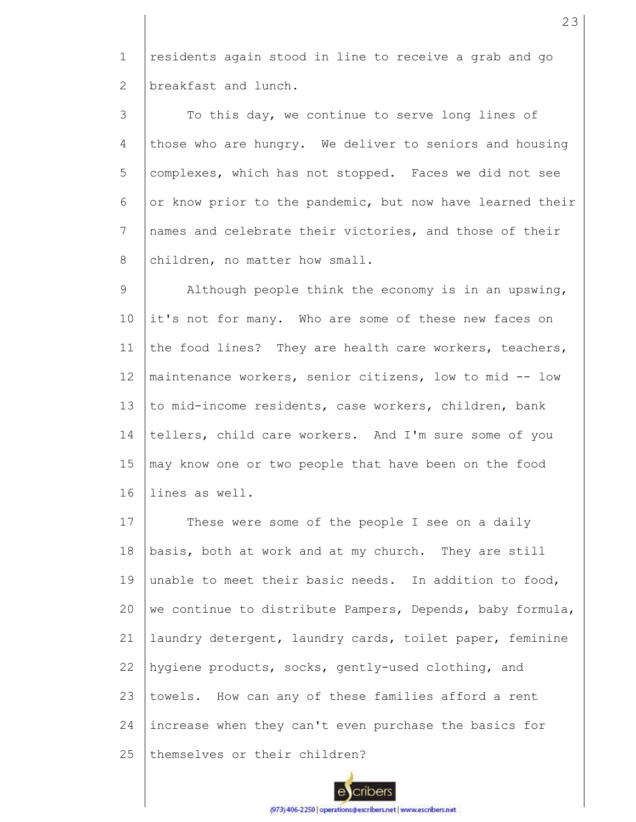1 2 residents again stood in line to receive a grab and go breakfast and lunch.

3 4 5 6 7 8 To this day, we continue to serve long lines of those who are hungry. We deliver to seniors and housing complexes, which has not stopped. Faces we did not see or know prior to the pandemic, but now have learned their names and celebrate their victories, and those of their children, no matter how small.

9 10 11 12 13 14 15 16 Although people think the economy is in an upswing, it's not for many. Who are some of these new faces on the food lines? They are health care workers, teachers, maintenance workers, senior citizens, low to mid -- low to mid-income residents, case workers, children, bank tellers, child care workers. And I'm sure some of you may know one or two people that have been on the food lines as well.

17 18 19 20 21 22 23 24 25 These were some of the people I see on a daily basis, both at work and at my church. They are still unable to meet their basic needs. In addition to food, we continue to distribute Pampers, Depends, baby formula, laundry detergent, laundry cards, toilet paper, feminine hygiene products, socks, gently-used clothing, and towels. How can any of these families afford a rent increase when they can't even purchase the basics for themselves or their children?

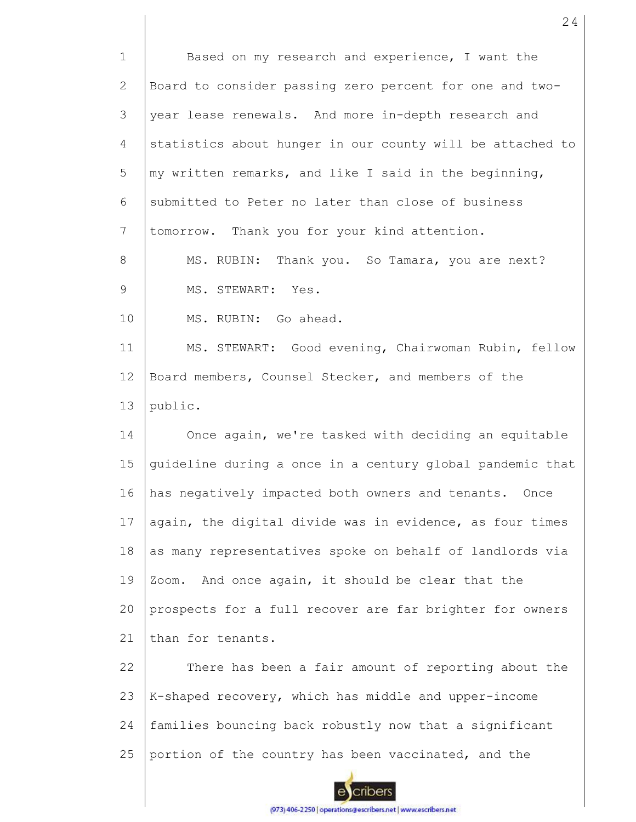1 2 3 4 5 6 7 8 9 10 11 12 13 14 15 16 17 18 19 20 21 22 23 24 25 Based on my research and experience, I want the Board to consider passing zero percent for one and twoyear lease renewals. And more in-depth research and statistics about hunger in our county will be attached to my written remarks, and like I said in the beginning, submitted to Peter no later than close of business tomorrow. Thank you for your kind attention. MS. RUBIN: Thank you. So Tamara, you are next? MS. STEWART: Yes. MS. RUBIN: Go ahead. MS. STEWART: Good evening, Chairwoman Rubin, fellow Board members, Counsel Stecker, and members of the public. Once again, we're tasked with deciding an equitable guideline during a once in a century global pandemic that has negatively impacted both owners and tenants. Once again, the digital divide was in evidence, as four times as many representatives spoke on behalf of landlords via Zoom. And once again, it should be clear that the prospects for a full recover are far brighter for owners than for tenants. There has been a fair amount of reporting about the K-shaped recovery, which has middle and upper-income families bouncing back robustly now that a significant portion of the country has been vaccinated, and the

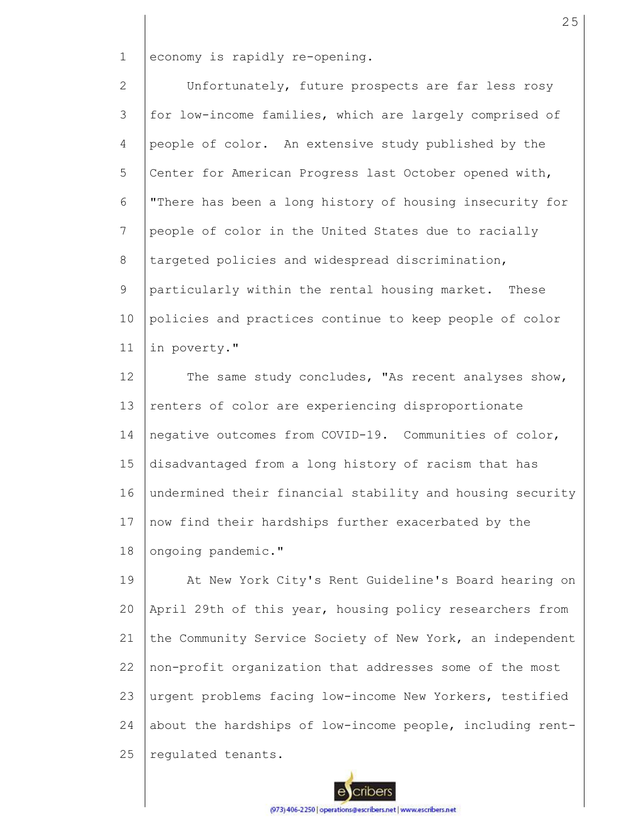1 economy is rapidly re-opening.

2 3 4 5 6 7 8 9 10 11 Unfortunately, future prospects are far less rosy for low-income families, which are largely comprised of people of color. An extensive study published by the Center for American Progress last October opened with, "There has been a long history of housing insecurity for people of color in the United States due to racially targeted policies and widespread discrimination, particularly within the rental housing market. These policies and practices continue to keep people of color in poverty."

12 13 14 15 16 17 18 The same study concludes, "As recent analyses show, renters of color are experiencing disproportionate negative outcomes from COVID-19. Communities of color, disadvantaged from a long history of racism that has undermined their financial stability and housing security now find their hardships further exacerbated by the ongoing pandemic."

19 20 21 22 23 24 25 At New York City's Rent Guideline's Board hearing on April 29th of this year, housing policy researchers from the Community Service Society of New York, an independent non-profit organization that addresses some of the most urgent problems facing low-income New Yorkers, testified about the hardships of low-income people, including rentregulated tenants.

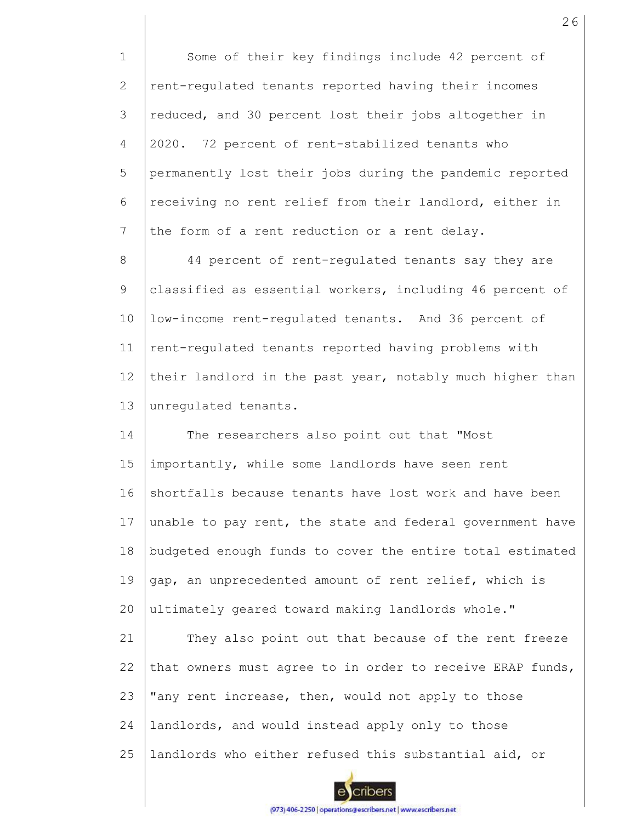1 2 3 4 5 6 7 8 9 10 11 12 13 14 15 16 17 18 19  $20$ 21 22 23 24 25 Some of their key findings include 42 percent of rent-regulated tenants reported having their incomes reduced, and 30 percent lost their jobs altogether in 2020. 72 percent of rent-stabilized tenants who permanently lost their jobs during the pandemic reported receiving no rent relief from their landlord, either in the form of a rent reduction or a rent delay. 44 percent of rent-regulated tenants say they are classified as essential workers, including 46 percent of low-income rent-regulated tenants. And 36 percent of rent-regulated tenants reported having problems with their landlord in the past year, notably much higher than unregulated tenants. The researchers also point out that "Most importantly, while some landlords have seen rent shortfalls because tenants have lost work and have been unable to pay rent, the state and federal government have budgeted enough funds to cover the entire total estimated gap, an unprecedented amount of rent relief, which is ultimately geared toward making landlords whole." They also point out that because of the rent freeze that owners must agree to in order to receive ERAP funds, "any rent increase, then, would not apply to those landlords, and would instead apply only to those landlords who either refused this substantial aid, or

cribers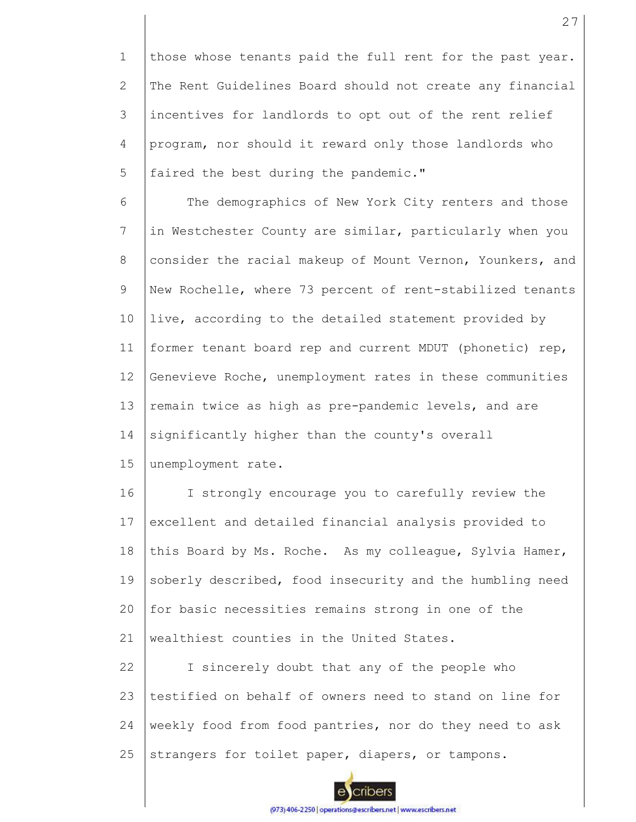1 2 3 4 5 those whose tenants paid the full rent for the past year. The Rent Guidelines Board should not create any financial incentives for landlords to opt out of the rent relief program, nor should it reward only those landlords who faired the best during the pandemic."

6 7 8 9 10 11 12 13 14 The demographics of New York City renters and those in Westchester County are similar, particularly when you consider the racial makeup of Mount Vernon, Younkers, and New Rochelle, where 73 percent of rent-stabilized tenants live, according to the detailed statement provided by former tenant board rep and current MDUT (phonetic) rep, Genevieve Roche, unemployment rates in these communities remain twice as high as pre-pandemic levels, and are significantly higher than the county's overall

15 unemployment rate.

16 17 18 19  $20$ 21 I strongly encourage you to carefully review the excellent and detailed financial analysis provided to this Board by Ms. Roche. As my colleague, Sylvia Hamer, soberly described, food insecurity and the humbling need for basic necessities remains strong in one of the wealthiest counties in the United States.

22 23 24 25 I sincerely doubt that any of the people who testified on behalf of owners need to stand on line for weekly food from food pantries, nor do they need to ask strangers for toilet paper, diapers, or tampons.

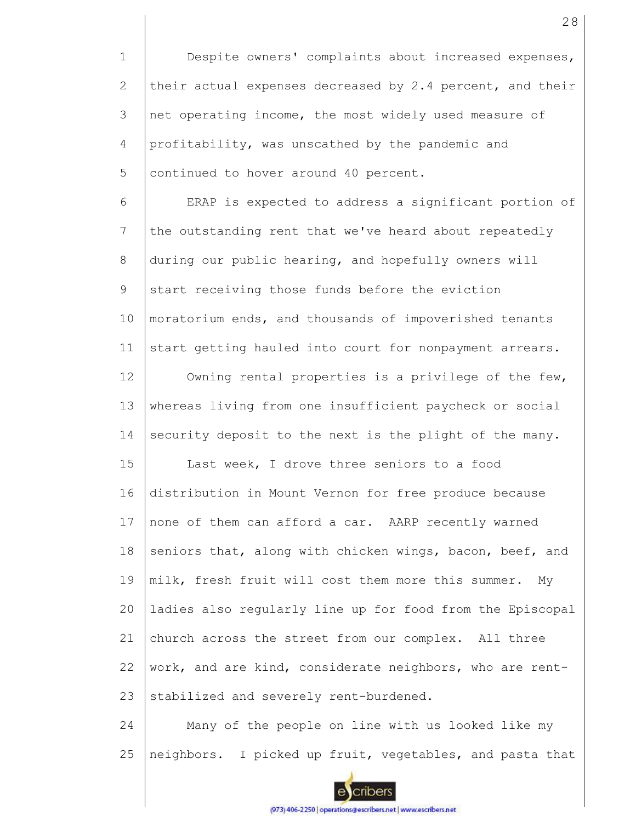1 2 3 4 5 Despite owners' complaints about increased expenses, their actual expenses decreased by 2.4 percent, and their net operating income, the most widely used measure of profitability, was unscathed by the pandemic and continued to hover around 40 percent.

6 7 8 9 10 11 ERAP is expected to address a significant portion of the outstanding rent that we've heard about repeatedly during our public hearing, and hopefully owners will start receiving those funds before the eviction moratorium ends, and thousands of impoverished tenants start getting hauled into court for nonpayment arrears.

12 13 14 Owning rental properties is a privilege of the few, whereas living from one insufficient paycheck or social security deposit to the next is the plight of the many.

15 16 17 18 19 20 21 22 23 Last week, I drove three seniors to a food distribution in Mount Vernon for free produce because none of them can afford a car. AARP recently warned seniors that, along with chicken wings, bacon, beef, and milk, fresh fruit will cost them more this summer. My ladies also regularly line up for food from the Episcopal church across the street from our complex. All three work, and are kind, considerate neighbors, who are rentstabilized and severely rent-burdened.

24 25 Many of the people on line with us looked like my neighbors. I picked up fruit, vegetables, and pasta that

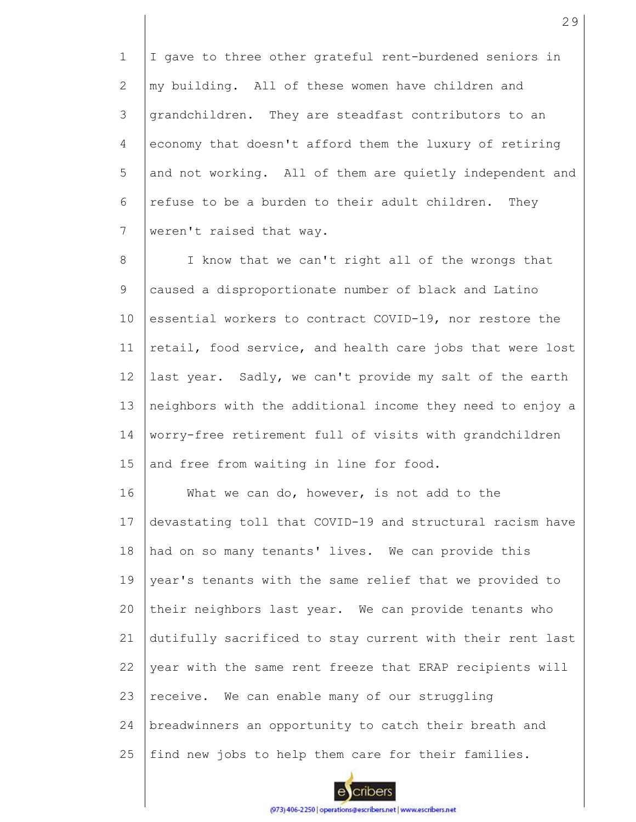1 2 3 4 5 6 7 I gave to three other grateful rent-burdened seniors in my building. All of these women have children and grandchildren. They are steadfast contributors to an economy that doesn't afford them the luxury of retiring and not working. All of them are quietly independent and refuse to be a burden to their adult children. They weren't raised that way.

8 9 10 11 12 13 14 15 I know that we can't right all of the wrongs that caused a disproportionate number of black and Latino essential workers to contract COVID-19, nor restore the retail, food service, and health care jobs that were lost last year. Sadly, we can't provide my salt of the earth neighbors with the additional income they need to enjoy a worry-free retirement full of visits with grandchildren and free from waiting in line for food.

16 17 18 19 20 21 22 23 24 25 What we can do, however, is not add to the devastating toll that COVID-19 and structural racism have had on so many tenants' lives. We can provide this year's tenants with the same relief that we provided to their neighbors last year. We can provide tenants who dutifully sacrificed to stay current with their rent last year with the same rent freeze that ERAP recipients will receive. We can enable many of our struggling breadwinners an opportunity to catch their breath and find new jobs to help them care for their families.

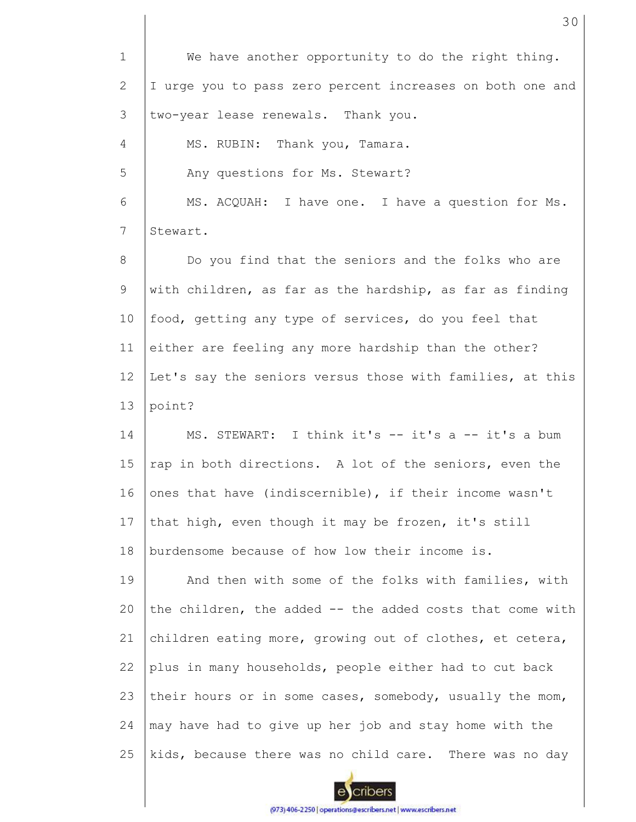1 2 3 4 5 6 7 8 9 10 11 12 13 14 15 16 17 18 19  $20$ 21 22 23 24 25 We have another opportunity to do the right thing. I urge you to pass zero percent increases on both one and two-year lease renewals. Thank you. MS. RUBIN: Thank you, Tamara. Any questions for Ms. Stewart? MS. ACQUAH: I have one. I have a question for Ms. Stewart. Do you find that the seniors and the folks who are with children, as far as the hardship, as far as finding food, getting any type of services, do you feel that either are feeling any more hardship than the other? Let's say the seniors versus those with families, at this point? MS. STEWART: I think it's -- it's a -- it's a bum rap in both directions. A lot of the seniors, even the ones that have (indiscernible), if their income wasn't that high, even though it may be frozen, it's still burdensome because of how low their income is. And then with some of the folks with families, with the children, the added -- the added costs that come with children eating more, growing out of clothes, et cetera, plus in many households, people either had to cut back their hours or in some cases, somebody, usually the mom, may have had to give up her job and stay home with the kids, because there was no child care. There was no day

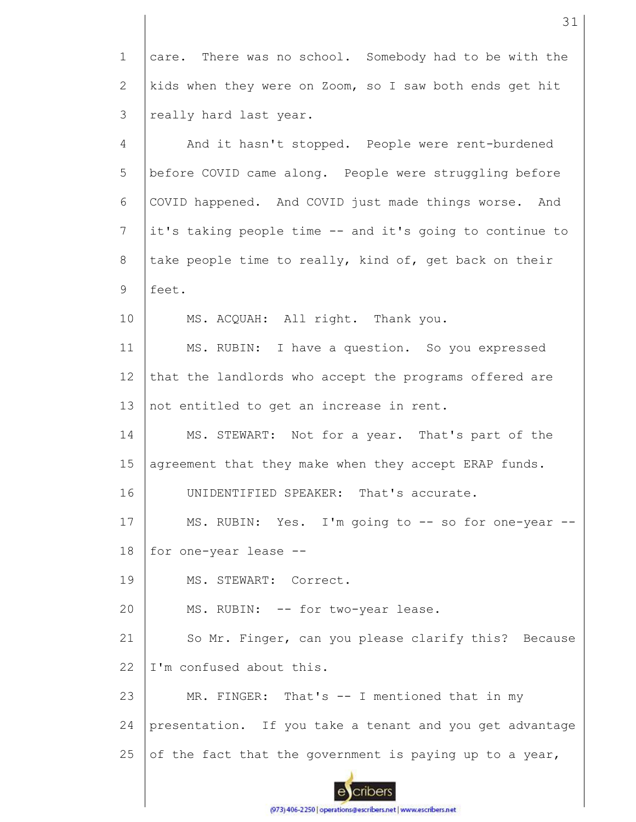1 2 3 care. There was no school. Somebody had to be with the kids when they were on Zoom, so I saw both ends get hit really hard last year.

4 5 6 7 8 9 10 11 12 13 14 15 16 17 18 19 20 21 22 23 24 25 And it hasn't stopped. People were rent-burdened before COVID came along. People were struggling before COVID happened. And COVID just made things worse. And it's taking people time -- and it's going to continue to take people time to really, kind of, get back on their feet. MS. ACQUAH: All right. Thank you. MS. RUBIN: I have a question. So you expressed that the landlords who accept the programs offered are not entitled to get an increase in rent. MS. STEWART: Not for a year. That's part of the agreement that they make when they accept ERAP funds. UNIDENTIFIED SPEAKER: That's accurate. MS. RUBIN: Yes. I'm going to -- so for one-year -for one-year lease -- MS. STEWART: Correct. MS. RUBIN: -- for two-year lease. So Mr. Finger, can you please clarify this? Because I'm confused about this. MR. FINGER: That's -- I mentioned that in my presentation. If you take a tenant and you get advantage of the fact that the government is paying up to a year,

cribers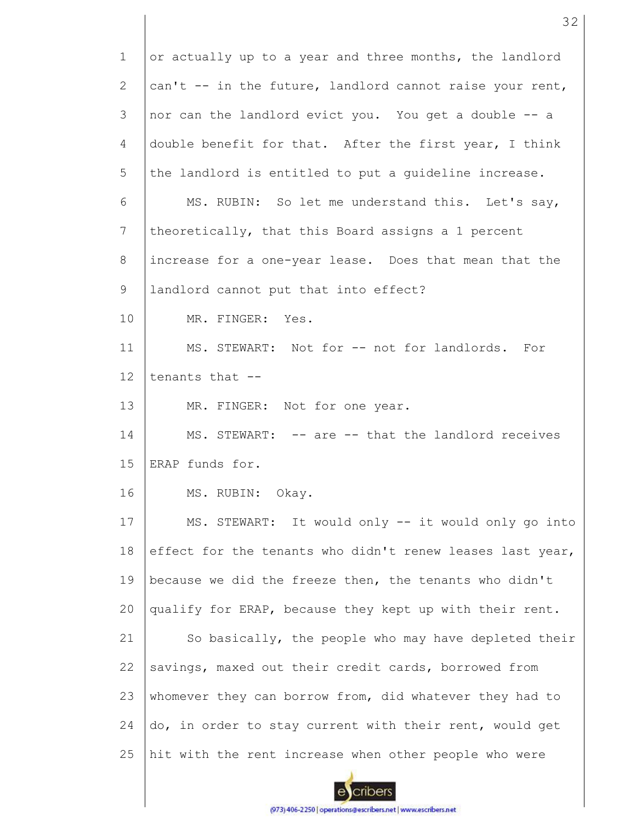1 2 3 4 5 6 7 8 9 10 11 12 13 14 15 16 17 18 19 20 21 22 23 24 25 or actually up to a year and three months, the landlord can't -- in the future, landlord cannot raise your rent, nor can the landlord evict you. You get a double -- a double benefit for that. After the first year, I think the landlord is entitled to put a guideline increase. MS. RUBIN: So let me understand this. Let's say, theoretically, that this Board assigns a 1 percent increase for a one-year lease. Does that mean that the landlord cannot put that into effect? MR. FINGER: Yes. MS. STEWART: Not for -- not for landlords. For tenants that -- MR. FINGER: Not for one year. MS. STEWART: -- are -- that the landlord receives ERAP funds for. MS. RUBIN: Okay. MS. STEWART: It would only -- it would only go into effect for the tenants who didn't renew leases last year, because we did the freeze then, the tenants who didn't qualify for ERAP, because they kept up with their rent. So basically, the people who may have depleted their savings, maxed out their credit cards, borrowed from whomever they can borrow from, did whatever they had to do, in order to stay current with their rent, would get hit with the rent increase when other people who were

32

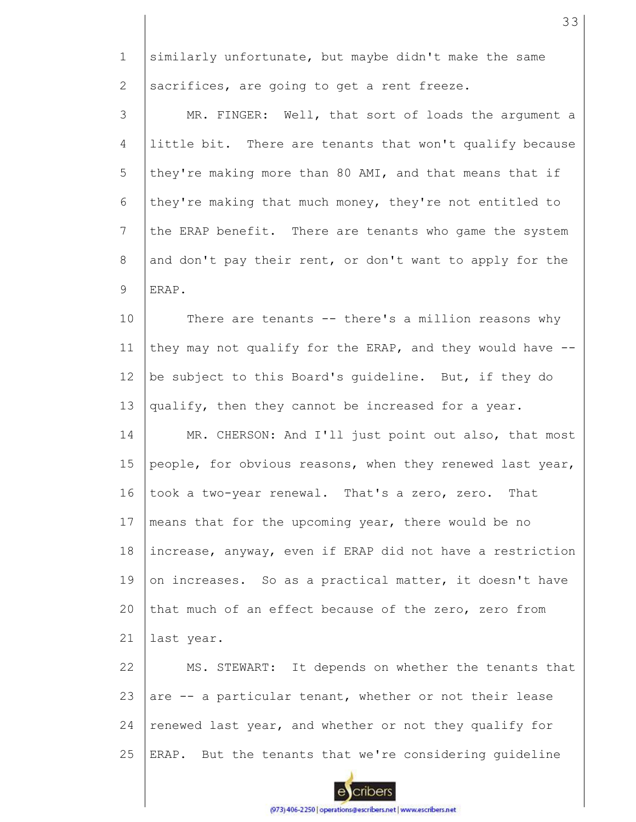1 2 3 4 5 6 7 8 9 10 11 12 13 14 15 16 17 18 19 20 21 22 similarly unfortunate, but maybe didn't make the same sacrifices, are going to get a rent freeze. MR. FINGER: Well, that sort of loads the argument a little bit. There are tenants that won't qualify because they're making more than 80 AMI, and that means that if they're making that much money, they're not entitled to the ERAP benefit. There are tenants who game the system and don't pay their rent, or don't want to apply for the ERAP. There are tenants -- there's a million reasons why they may not qualify for the ERAP, and they would have - be subject to this Board's guideline. But, if they do qualify, then they cannot be increased for a year. MR. CHERSON: And I'll just point out also, that most people, for obvious reasons, when they renewed last year, took a two-year renewal. That's a zero, zero. That means that for the upcoming year, there would be no increase, anyway, even if ERAP did not have a restriction on increases. So as a practical matter, it doesn't have that much of an effect because of the zero, zero from last year. MS. STEWART: It depends on whether the tenants that

23 24 25 are -- a particular tenant, whether or not their lease renewed last year, and whether or not they qualify for ERAP. But the tenants that we're considering guideline

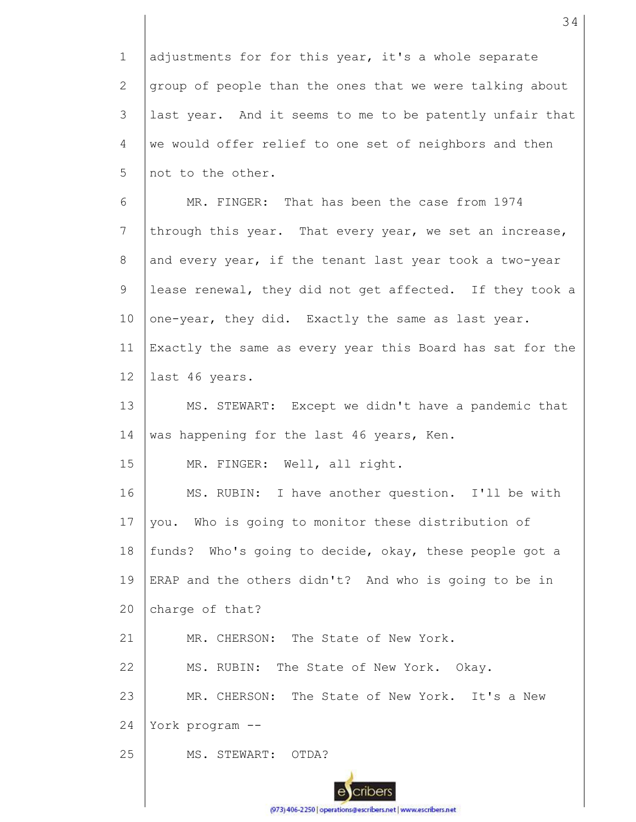1 2 3 4 5 6 7 8 9 10 11 12 13 14 15 16 17 18 19 20 21 22 23 24 25 adjustments for for this year, it's a whole separate group of people than the ones that we were talking about last year. And it seems to me to be patently unfair that we would offer relief to one set of neighbors and then not to the other. MR. FINGER: That has been the case from 1974 through this year. That every year, we set an increase, and every year, if the tenant last year took a two-year lease renewal, they did not get affected. If they took a one-year, they did. Exactly the same as last year. Exactly the same as every year this Board has sat for the last 46 years. MS. STEWART: Except we didn't have a pandemic that was happening for the last 46 years, Ken. MR. FINGER: Well, all right. MS. RUBIN: I have another question. I'll be with you. Who is going to monitor these distribution of funds? Who's going to decide, okay, these people got a ERAP and the others didn't? And who is going to be in charge of that? MR. CHERSON: The State of New York. MS. RUBIN: The State of New York. Okay. MR. CHERSON: The State of New York. It's a New York program -- MS. STEWART: OTDA?

34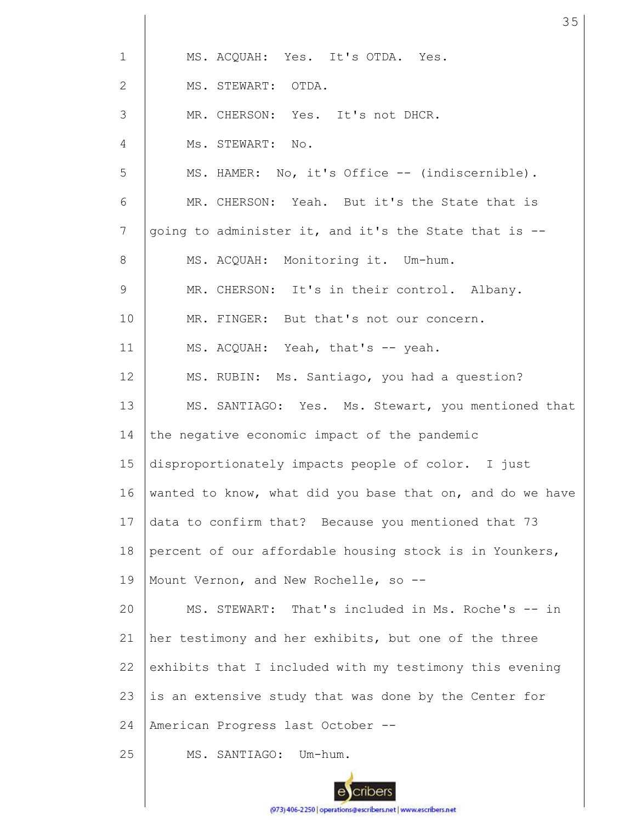| $\mathbf 1$    | MS. ACQUAH: Yes. It's OTDA. Yes.                          |
|----------------|-----------------------------------------------------------|
| $\overline{2}$ | MS. STEWART: OTDA.                                        |
| 3              | MR. CHERSON: Yes. It's not DHCR.                          |
| 4              | Ms. STEWART: No.                                          |
| 5              | MS. HAMER: No, it's Office -- (indiscernible).            |
| 6              | MR. CHERSON: Yeah. But it's the State that is             |
| $7\phantom{.}$ | going to administer it, and it's the State that is --     |
| 8              | MS. ACQUAH: Monitoring it. Um-hum.                        |
| $\mathsf 9$    | MR. CHERSON: It's in their control. Albany.               |
| 10             | MR. FINGER: But that's not our concern.                   |
| 11             | MS. ACQUAH: Yeah, that's -- yeah.                         |
| 12             | MS. RUBIN: Ms. Santiago, you had a question?              |
| 13             | MS. SANTIAGO: Yes. Ms. Stewart, you mentioned that        |
| 14             | the negative economic impact of the pandemic              |
| 15             | disproportionately impacts people of color. I just        |
| 16             | wanted to know, what did you base that on, and do we have |
| 17             | data to confirm that? Because you mentioned that 73       |
| 18             | percent of our affordable housing stock is in Younkers,   |
| 19             | Mount Vernon, and New Rochelle, so --                     |
| 20             | MS. STEWART: That's included in Ms. Roche's -- in         |
| 21             | her testimony and her exhibits, but one of the three      |
| 22             | exhibits that I included with my testimony this evening   |
| 23             | is an extensive study that was done by the Center for     |
| 24             | American Progress last October --                         |
| 25             | MS. SANTIAGO:<br>Um-hum.                                  |
|                |                                                           |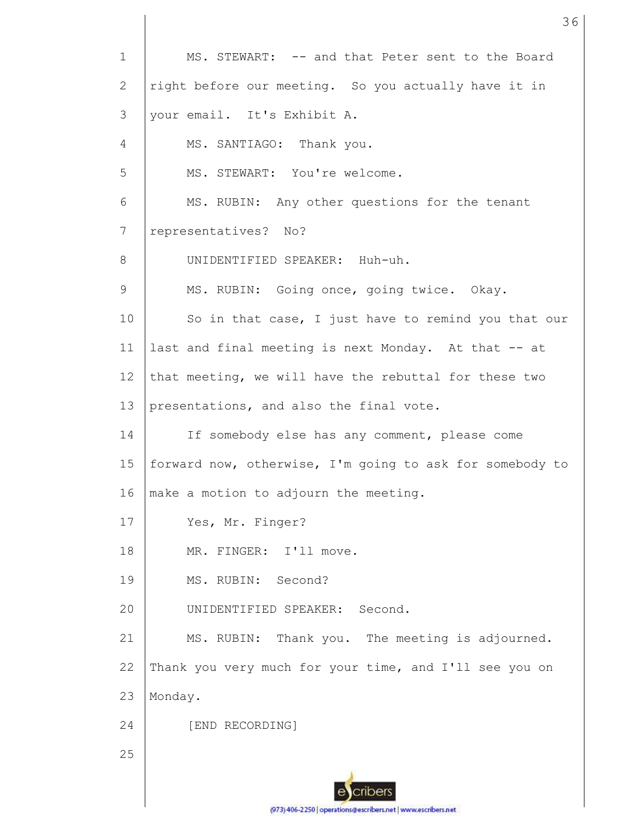1 2 3 4 5 6 7 8 9 10 11 12 13 14 15 16 17 18 19 20 21 22 23 24 25 MS. STEWART: -- and that Peter sent to the Board right before our meeting. So you actually have it in your email. It's Exhibit A. MS. SANTIAGO: Thank you. MS. STEWART: You're welcome. MS. RUBIN: Any other questions for the tenant representatives? No? UNIDENTIFIED SPEAKER: Huh-uh. MS. RUBIN: Going once, going twice. Okay. So in that case, I just have to remind you that our last and final meeting is next Monday. At that -- at that meeting, we will have the rebuttal for these two presentations, and also the final vote. If somebody else has any comment, please come forward now, otherwise, I'm going to ask for somebody to make a motion to adjourn the meeting. Yes, Mr. Finger? MR. FINGER: I'll move. MS. RUBIN: Second? UNIDENTIFIED SPEAKER: Second. MS. RUBIN: Thank you. The meeting is adjourned. Thank you very much for your time, and I'll see you on Monday. [END RECORDING]

36

(973) 406-2250 | operations@escribers.net | www.escribers.net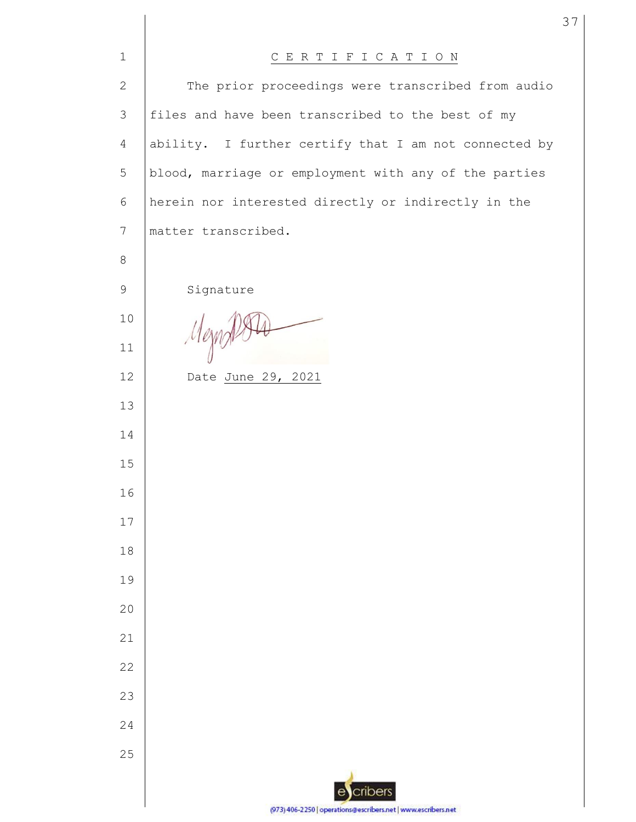| $\mathbf{1}$   | CERTIFICATION                                                 |
|----------------|---------------------------------------------------------------|
| $\mathbf{2}$   | The prior proceedings were transcribed from audio             |
| 3              | files and have been transcribed to the best of my             |
| $\overline{4}$ | ability. I further certify that I am not connected by         |
| 5              | blood, marriage or employment with any of the parties         |
| 6              | herein nor interested directly or indirectly in the           |
| 7              | matter transcribed.                                           |
| 8              |                                                               |
| $\mathsf 9$    | Signature                                                     |
| 10             |                                                               |
| 11             | Mezn                                                          |
| 12             | Date June 29, 2021                                            |
| 13             |                                                               |
| 14             |                                                               |
| 15             |                                                               |
| 16             |                                                               |
| 17             |                                                               |
| 18             |                                                               |
| 19             |                                                               |
| 20             |                                                               |
| 21             |                                                               |
| 22             |                                                               |
| 23             |                                                               |
| 24             |                                                               |
| 25             |                                                               |
|                | cribers<br>e                                                  |
|                | (973) 406-2250   operations@escribers.net   www.escribers.net |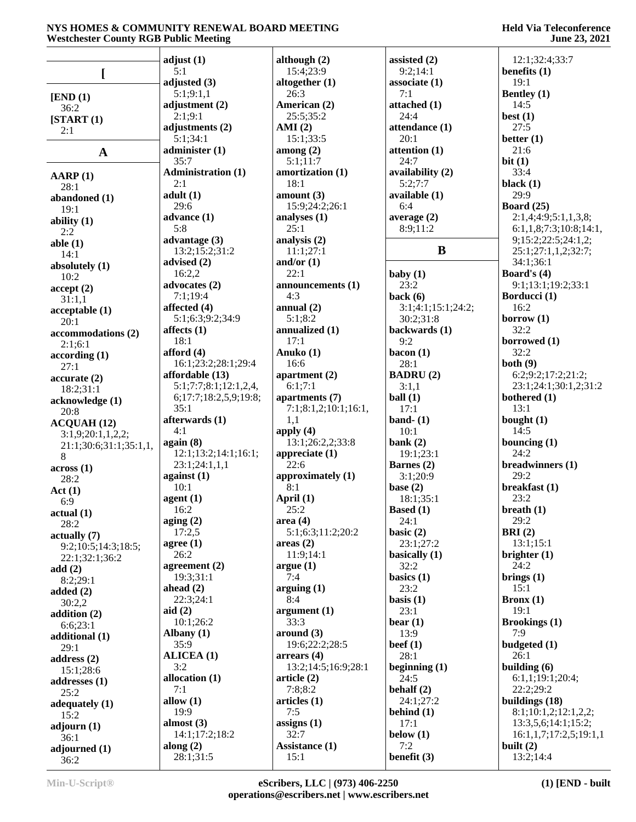|                        | adjust(1)                 | although $(2)$       | assisted (2)       | 12:1;32:4;33:7         |
|------------------------|---------------------------|----------------------|--------------------|------------------------|
| <sub>[</sub>           | 5:1                       | 15:4;23:9            | 9:2;14:1           | benefits $(1)$         |
|                        | adjusted $(3)$            | altogether $(1)$     | associate (1)      | 19:1                   |
| [END (1)]              | 5:1;9:1,1                 | 26:3                 | 7:1                | <b>Bentley</b> (1)     |
| 36:2                   | adjustment (2)            | American (2)         | attached (1)       | 14:5                   |
| [START (1)]            | 2:1;9:1                   | 25:5;35:2            | 24:4               | best $(1)$             |
|                        | adjustments (2)           | AMI(2)               | attendance (1)     | 27:5                   |
| 2:1                    | 5:1;34:1                  | 15:1;33:5            | 20:1               | better $(1)$           |
|                        | administer(1)             | among $(2)$          | attention (1)      | 21:6                   |
| $\mathbf A$            | 35:7                      | 5:1;11:7             | 24:7               | bit(1)                 |
|                        | <b>Administration (1)</b> | amortization (1)     | availability (2)   | 33:4                   |
| AARP(1)                | 2:1                       | 18:1                 | 5:2:7:7            | black $(1)$            |
| 28:1                   | adult(1)                  | amount(3)            | available (1)      | 29:9                   |
| abandoned (1)          | 29:6                      | 15:9;24:2;26:1       | 6:4                | Board $(25)$           |
| 19:1                   | advance $(1)$             | analyses (1)         | average $(2)$      | 2:1,4;4:9;5:1,1,3,8;   |
| ability $(1)$          | 5:8                       | 25:1                 | 8:9;11:2           | 6:1,1,8;7:3;10:8;14:1, |
| 2:2                    | advantage $(3)$           | analysis (2)         |                    | 9;15:2;22:5;24:1,2;    |
| able $(1)$             | 13:2;15:2;31:2            | 11:1;27:1            | $\bf{B}$           | 25:1;27:1,1,2;32:7;    |
| 14:1                   |                           |                      |                    |                        |
| absolutely (1)         | advised (2)               | and/or $(1)$<br>22:1 |                    | 34:1;36:1              |
| 10:2                   | 16:2,2                    |                      | baby $(1)$         | Board's (4)            |
| accept(2)              | advocates (2)             | announcements (1)    | 23:2               | 9:1;13:1;19:2;33:1     |
| 31:1,1                 | 7:1:19:4                  | 4:3                  | back $(6)$         | Borducci (1)           |
| acceptable(1)          | affected (4)              | annual $(2)$         | 3:1;4:1;15:1;24:2; | 16:2                   |
| 20:1                   | 5:1;6:3;9:2;34:9          | 5:1;8:2              | 30:2;31:8          | borrow $(1)$           |
| accommodations (2)     | affects $(1)$             | annualized (1)       | backwards (1)      | 32:2                   |
| 2:1;6:1                | 18:1                      | 17:1                 | 9:2                | borrowed (1)           |
| according(1)           | afford $(4)$              | Anuko (1)            | bacon $(1)$        | 32:2                   |
| 27:1                   | 16:1;23:2;28:1;29:4       | 16:6                 | 28:1               | both $(9)$             |
| accurate(2)            | affordable (13)           | apartment (2)        | <b>BADRU(2)</b>    | 6:2;9:2;17:2;21:2;     |
| 18:2;31:1              | 5:1;7:7;8:1;12:1,2,4,     | 6:1;7:1              | 3:1,1              | 23:1;24:1;30:1,2;31:2  |
| acknowledge (1)        | 6;17:7;18:2,5,9;19:8;     | apartments (7)       | ball(1)            | bothered (1)           |
| 20:8                   | 35:1                      | 7:1;8:1,2;10:1;16:1, | 17:1               | 13:1                   |
| <b>ACQUAH (12)</b>     | afterwards (1)            | 1,1                  | band- $(1)$        | bought $(1)$           |
| 3:1,9;20:1,1,2,2;      | 4:1                       | apply $(4)$          | 10:1               | 14:5                   |
| 21:1;30:6;31:1;35:1,1, | again (8)                 | 13:1;26:2,2;33:8     | bank $(2)$         | bouncing $(1)$         |
| 8                      | 12:1;13:2;14:1;16:1;      | appreciate (1)       | 19:1;23:1          | 24:2                   |
| across(1)              | 23:1;24:1,1,1             | 22:6                 | Barnes (2)         | breadwinners (1)       |
| 28:2                   | against $(1)$             | approximately (1)    | 3:1;20:9           | 29:2                   |
| Act(1)                 | 10:1                      | 8:1                  | base $(2)$         | breakfast (1)          |
| 6:9                    | agent(1)                  | April (1)            | 18:1;35:1          | 23:2                   |
| actual(1)              | 16:2                      | 25:2                 | <b>Based</b> (1)   | breath $(1)$           |
| 28:2                   | aging $(2)$               | area(4)              | 24:1               | 29:2                   |
| actually(7)            | 17:2,5                    | 5:1;6:3;11:2;20:2    | basic $(2)$        | BRI(2)                 |
| 9:2;10:5;14:3;18:5;    | agree $(1)$               | areas(2)             | 23:1;27:2          | 13:1;15:1              |
| 22:1;32:1;36:2         | 26:2                      | 11:9;14:1            | basically (1)      | brighter $(1)$         |
| add $(2)$              | agreement (2)             | argue(1)             | 32:2               | 24:2                   |
| 8:2;29:1               | 19:3;31:1                 | 7:4                  | basics $(1)$       | brings $(1)$           |
| added $(2)$            | ahead $(2)$               | arguing(1)           | 23:2               | 15:1                   |
| 30:2,2                 | 22:3;24:1                 | 8:4                  | basis $(1)$        | Bronx(1)               |
| addition (2)           | aid(2)                    | argument(1)          | 23:1               | 19:1                   |
| 6:6;23:1               | 10:1;26:2                 | 33:3                 | $\text{bear} (1)$  | <b>Brookings</b> (1)   |
| additional (1)         | Albany $(1)$              | around (3)           | 13:9               | 7:9                    |
|                        | 35:9                      | 19:6;22:2;28:5       | beef $(1)$         | budgeted $(1)$         |
| 29:1                   | <b>ALICEA</b> (1)         | $\arrears(4)$        | 28:1               | 26:1                   |
| address $(2)$          | 3:2                       | 13:2;14:5;16:9;28:1  | beginning $(1)$    | building $(6)$         |
| 15:1;28:6              | allocation $(1)$          | article $(2)$        | 24:5               | 6:1,1;19:1;20:4;       |
| addresses (1)          | 7:1                       | 7:8;8:2              | behalf $(2)$       | 22:2;29:2              |
| 25:2                   | allow $(1)$               | articles (1)         | 24:1;27:2          | buildings (18)         |
| adequately (1)         | 19:9                      | 7:5                  | behind $(1)$       | 8:1;10:1,2;12:1,2,2;   |
| 15:2                   | almost $(3)$              | assigns $(1)$        | 17:1               | 13:3,5,6;14:1;15:2;    |
| adjourn(1)             |                           | 32:7                 |                    |                        |
| 36:1                   | 14:1;17:2;18:2            |                      | below $(1)$<br>7:2 | 16:1,1,7;17:2,5;19:1,1 |
| adjourned $(1)$        | along $(2)$               | Assistance (1)       |                    | built $(2)$            |
| 36:2                   | 28:1;31:5                 | 15:1                 | benefit (3)        | 13:2;14:4              |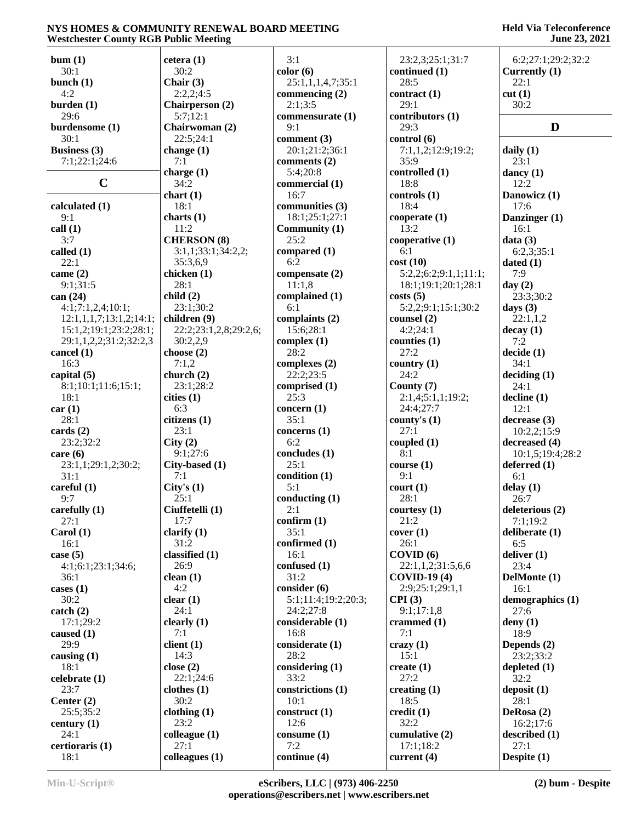| Westchester County RGB Public Meeting |                       |                             |                       | <b>June 23, 2021</b> |
|---------------------------------------|-----------------------|-----------------------------|-----------------------|----------------------|
| bum(1)                                | cetera(1)             | 3:1                         | 23:2,3;25:1;31:7      | 6:2;27:1;29:2;32:2   |
| 30:1                                  | 30:2                  | color(6)                    | continued (1)         | Currently (1)        |
| bunch $(1)$                           | Chair $(3)$           | 25:1,1,1,4,7;35:1           | 28:5                  | 22:1                 |
| 4:2                                   | 2:2,2;4:5             |                             | contract(1)           | cut(1)               |
| burden(1)                             | Chairperson (2)       | commencing $(2)$<br>2:1;3:5 | 29:1                  | 30:2                 |
| 29:6                                  | 5:7;12:1              | commensurate (1)            | contributors (1)      |                      |
|                                       |                       | 9:1                         | 29:3                  | D                    |
| burdensome (1)                        | Chairwoman (2)        |                             |                       |                      |
| 30:1                                  | 22:5;24:1             | comment $(3)$               | control (6)           |                      |
| <b>Business</b> (3)                   | change $(1)$          | 20:1;21:2;36:1              | 7:1,1,2;12:9;19:2;    | daily $(1)$          |
| 7:1;22:1;24:6                         | 7:1                   | comments (2)                | 35:9                  | 23:1                 |
|                                       | charge $(1)$          | 5:4;20:8                    | controlled (1)        | dancy $(1)$          |
| $\mathbf C$                           | 34:2                  | commercial (1)              | 18:8                  | 12:2                 |
|                                       | chart(1)              | 16:7                        | controls(1)           | Danowicz (1)         |
| calculated (1)                        | 18:1                  | communities (3)             | 18:4                  | 17:6                 |
| 9:1                                   | charts $(1)$          | 18:1;25:1;27:1              | cooperate(1)          | Danzinger (1)        |
| call(1)                               | 11:2                  | Community (1)               | 13:2                  | 16:1                 |
| 3:7                                   | <b>CHERSON</b> (8)    | 25:2                        | cooperative $(1)$     | data(3)              |
| called (1)                            | 3:1,1;33:1;34:2,2;    | compared (1)                | 6:1                   | 6:2,3;35:1           |
| 22:1                                  | 35:3,6,9              | 6:2                         | cost(10)              | dated $(1)$          |
| came $(2)$                            | chicken (1)           | compensate (2)              | 5:2,2;6:2;9:1,1;11:1; | 7:9                  |
| 9:1;31:5                              | 28:1                  | 11:1,8                      | 18:1;19:1;20:1;28:1   | day $(2)$            |
| can $(24)$                            | child(2)              | complained (1)              | costs(5)              | 23:3;30:2            |
| 4:1;7:1,2,4;10:1;                     | 23:1;30:2             | 6:1                         | 5:2,2;9:1;15:1;30:2   | days $(3)$           |
| 12:1,1,1,7;13:1,2;14:1;               | children (9)          | complaints (2)              | counsel (2)           | 22:1,1,2             |
| 15:1,2;19:1;23:2;28:1;                | 22:2;23:1,2,8;29:2,6; | 15:6;28:1                   | 4:2;24:1              | decay(1)             |
| 29:1,1,2,2;31:2;32:2,3                | 30:2,2,9              | complex $(1)$               | counties $(1)$        | 7:2                  |
| cancel (1)                            | choose $(2)$          | 28:2                        | 27:2                  | decide(1)            |
| 16:3                                  | 7:1,2                 | complexes $(2)$             | country $(1)$         | 34:1                 |
| capital (5)                           | church $(2)$          | 22:2;23:5                   | 24:2                  | deciding (1)         |
| 8:1;10:1;11:6;15:1;                   | 23:1;28:2             | comprised (1)               | County (7)            | 24:1                 |
| 18:1                                  | cities(1)             | 25:3                        | 2:1,4;5:1,1;19:2;     | $\text{decline} (1)$ |
| car(1)                                | 6:3                   | concern $(1)$               | 24:4;27:7             | 12:1                 |
| 28:1                                  | citizens (1)          | 35:1                        | county's (1)          | decrease(3)          |
| cards(2)                              | 23:1                  | concerns $(1)$              | 27:1                  | 10:2,2;15:9          |
| 23:2:32:2                             | City(2)               | 6:2                         | coupled $(1)$         | decreased (4)        |
| care $(6)$                            | 9:1;27:6              | concludes (1)               | 8:1                   | 10:1,5;19:4;28:2     |
| 23:1,1;29:1,2;30:2;                   | City-based (1)        | 25:1                        | course(1)             | deferred $(1)$       |
| 31:1                                  | 7:1                   | condition (1)               | 9:1                   | 6:1                  |
| careful (1)                           | City's $(1)$          | 5:1                         | court (1)             | delay(1)             |
| 9:7                                   | 25:1                  | conducting $(1)$            | 28:1                  | 26:7                 |
| carefully $(1)$                       | Ciuffetelli (1)       | 2:1                         | courtesy $(1)$        | deleterious (2)      |
| 27:1                                  | 17:7                  | confirm $(1)$               | 21:2                  | 7:1;19:2             |
| Carol(1)                              | clarify $(1)$         | 35:1                        | cover(1)              | deliberate (1)       |
| 16:1                                  | 31:2                  | confirmed (1)               | 26:1                  | 6:5                  |
| case $(5)$                            | classified $(1)$      | 16:1                        | COVID(6)              | deliver (1)          |
| 4:1;6:1;23:1;34:6;                    | 26:9                  | confused (1)                | 22:1,1,2;31:5,6,6     | 23:4                 |
| 36:1                                  | clean(1)              | 31:2                        | $COVID-19(4)$         | DelMonte (1)         |
| cases $(1)$                           | 4:2                   | consider (6)                | 2:9;25:1;29:1,1       | 16:1                 |
| 30:2                                  | clear(1)              | 5:1;11:4;19:2;20:3;         | CPI(3)                | demographics (1)     |
| $\text{catch} (2)$                    | 24:1                  | 24:2;27:8                   | 9:1;17:1,8            | 27:6                 |
| 17:1;29:2                             | clearly $(1)$         | considerable (1)            | crammed $(1)$         | deny $(1)$           |
| caused (1)                            | 7:1                   | 16:8                        | 7:1                   | 18:9                 |
| 29:9                                  | client(1)             | considerate (1)             | $c$ razy $(1)$        | Depends $(2)$        |
| causing $(1)$                         | 14:3                  | 28:2                        | 15:1                  | 23:2;33:2            |
| 18:1                                  | close $(2)$           | considering $(1)$           | create $(1)$          | depleted $(1)$       |
| celebrate (1)                         | 22:1;24:6             | 33:2                        | 27:2                  | 32:2                 |
| 23:7                                  | clothes(1)            | constrictions (1)           | creating $(1)$        | deposit $(1)$        |
| Center $(2)$                          | 30:2                  | 10:1                        | 18:5                  | 28:1                 |
| 25:5;35:2                             | clothing(1)           | construct (1)               | $\text{credit}(1)$    | DeRosa (2)           |
|                                       | 23:2                  | 12:6                        | 32:2                  |                      |
| century $(1)$                         |                       |                             |                       | 16:2;17:6            |
| 24:1                                  | colleague $(1)$       | consume $(1)$               | cumulative (2)        | described (1)        |
| certioraris (1)                       | 27:1                  | 7:2                         | 17:1;18:2             | 27:1                 |
| 18:1                                  | colleagues (1)        | continue (4)                | current $(4)$         | Despite (1)          |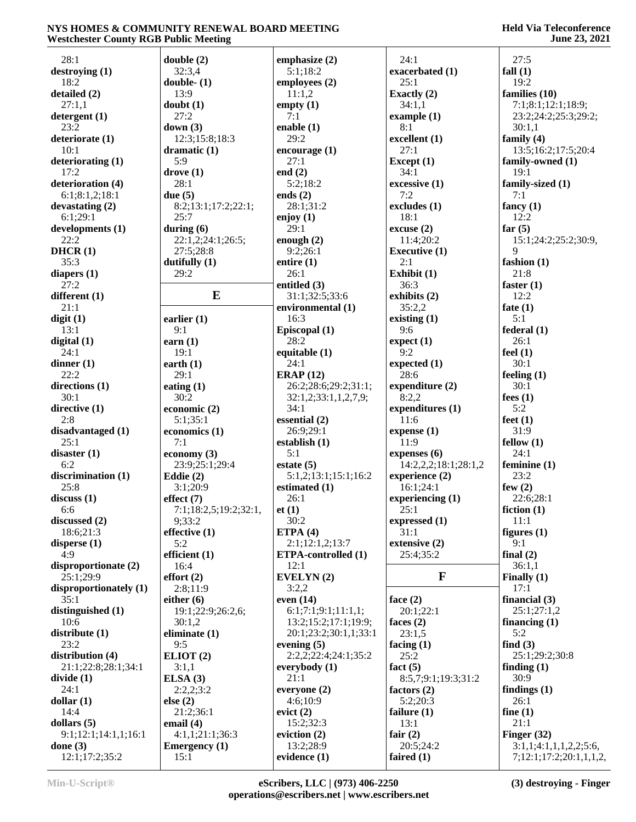| 28:1                       | double(2)             | emphasize $(2)$            | 24:1                 | 27:5                    |
|----------------------------|-----------------------|----------------------------|----------------------|-------------------------|
| $\text{dإ}$ destroying (1) | 32:3,4                | 5:1;18:2                   | exacerbated (1)      | fall $(1)$              |
| 18:2                       | double- $(1)$         | employees (2)              | 25:1                 | 19:2                    |
|                            |                       |                            |                      |                         |
| detailed (2)               | 13:9                  | 11:1,2                     | Exactly (2)          | families (10)           |
| 27:1,1                     | doubt(1)              | empty $(1)$                | 34:1,1               | 7:1;8:1;12:1;18:9;      |
| detergent(1)               | 27:2                  | 7:1                        | example $(1)$        | 23:2;24:2;25:3;29:2;    |
| 23:2                       | down $(3)$            | enable $(1)$               | 8:1                  | 30:1,1                  |
| deteriorate (1)            | 12:3;15:8;18:3        | 29:2                       | excellent (1)        | family $(4)$            |
| 10:1                       | dramatic $(1)$        | encourage $(1)$            | 27:1                 | 13:5;16:2;17:5;20:4     |
| deteriorating (1)          | 5:9                   | 27:1                       | Except $(1)$         | family-owned (1)        |
| 17:2                       | drove(1)              | end $(2)$                  | 34:1                 | 19:1                    |
|                            |                       |                            |                      |                         |
| deterioration (4)          | 28:1                  | 5:2;18:2                   | excessive (1)        | family-sized (1)        |
| 6:1;8:1,2;18:1             | due $(5)$             | ends $(2)$                 | 7:2                  | 7:1                     |
| devastating (2)            | 8:2;13:1;17:2;22:1;   | 28:1;31:2                  | excludes (1)         | fancy $(1)$             |
| 6:1;29:1                   | 25:7                  | enjoy $(1)$                | 18:1                 | 12:2                    |
| developments (1)           | during $(6)$          | 29:1                       | excuse(2)            | far $(5)$               |
| 22:2                       | 22:1,2;24:1;26:5;     | enough $(2)$               | 11:4;20:2            | 15:1;24:2;25:2;30:9,    |
| DHCR(1)                    | 27:5;28:8             | 9:2;26:1                   | <b>Executive (1)</b> | 9                       |
|                            |                       |                            |                      |                         |
| 35:3                       | dutifully $(1)$       | entire $(1)$               | 2:1                  | fashion (1)             |
| diapers $(1)$              | 29:2                  | 26:1                       | Exhibit (1)          | 21:8                    |
| 27:2                       |                       | entitled (3)               | 36:3                 | faster $(1)$            |
| different (1)              | $\bf{E}$              | 31:1;32:5;33:6             | exhibits (2)         | 12:2                    |
| 21:1                       |                       | environmental (1)          | 35:2,2               | fate $(1)$              |
| digit(1)                   | earlier $(1)$         | 16:3                       | existing $(1)$       | 5:1                     |
| 13:1                       | 9:1                   | Episcopal (1)              | 9:6                  | federal(1)              |
|                            |                       |                            |                      |                         |
| digital $(1)$              | earn $(1)$            | 28:2                       | expect(1)            | 26:1                    |
| 24:1                       | 19:1                  | equitable (1)              | 9:2                  | feel $(1)$              |
| dinner $(1)$               | earth $(1)$           | 24:1                       | expected (1)         | 30:1                    |
| 22:2                       | 29:1                  | ERAP $(12)$                | 28:6                 | feeling $(1)$           |
| directions $(1)$           | eating $(1)$          | 26:2;28:6;29:2;31:1;       | expenditure (2)      | 30:1                    |
| 30:1                       | 30:2                  | 32:1,2;33:1,1,2,7,9;       | 8:2,2                | fees $(1)$              |
| directive $(1)$            | economic (2)          | 34:1                       | expenditures (1)     | 5:2                     |
|                            |                       |                            |                      |                         |
| 2:8                        | 5:1;35:1              | essential $(2)$            | 11:6                 | feet $(1)$              |
| disadvantaged (1)          | economics (1)         | 26:9;29:1                  | expense(1)           | 31:9                    |
| 25:1                       | 7:1                   | establish (1)              | 11:9                 | fellow(1)               |
| disaster $(1)$             | economy $(3)$         | 5:1                        | expenses $(6)$       | 24:1                    |
| 6:2                        | 23:9;25:1;29:4        | estate $(5)$               | 14:2,2,2;18:1;28:1,2 | feminine (1)            |
| discrimination (1)         | Eddie $(2)$           | 5:1,2;13:1;15:1;16:2       | experience (2)       | 23:2                    |
| 25:8                       | 3:1;20:9              | estimated (1)              | 16:1;24:1            | few $(2)$               |
|                            |                       |                            |                      |                         |
| discuss(1)                 | effect (7)            | 26:1                       | experiencing $(1)$   | 22:6;28:1               |
| 6:6                        | 7:1;18:2,5;19:2;32:1, | et(1)                      | 25:1                 | fiction $(1)$           |
| discussed $(2)$            | 9;33:2                | 30:2                       | expressed (1)        | 11:1                    |
| 18:6;21:3                  | effective $(1)$       | ETPA $(4)$                 | 31:1                 | figures $(1)$           |
| disperse $(1)$             | 5:2                   | 2:1;12:1,2;13:7            | extensive (2)        | 9:1                     |
| 4:9                        | efficient $(1)$       | <b>ETPA-controlled (1)</b> | 25:4;35:2            | final $(2)$             |
| disproportionate (2)       | 16:4                  | 12:1                       |                      | 36:1,1                  |
|                            | effort(2)             | EVELYN(2)                  | $\mathbf{F}$         |                         |
| 25:1;29:9                  |                       |                            |                      | Finally $(1)$           |
| disproportionately (1)     | 2:8;11:9              | 3:2,2                      |                      | 17:1                    |
| 35:1                       | either $(6)$          | even $(14)$                | face $(2)$           | financial $(3)$         |
| distinguished (1)          | 19:1;22:9;26:2,6;     | 6:1;7:1;9:1;11:1,1;        | 20:1;22:1            | 25:1;27:1,2             |
| 10:6                       | 30:1,2                | 13:2;15:2;17:1;19:9;       | faces $(2)$          | financing $(1)$         |
| distribute (1)             | eliminate $(1)$       | 20:1;23:2;30:1,1;33:1      | 23:1,5               | 5:2                     |
| 23:2                       | 9:5                   | evening $(5)$              | facing $(1)$         | find $(3)$              |
|                            |                       |                            | 25:2                 |                         |
| distribution (4)           | ELIOT(2)              | 2:2,2;22:4;24:1;35:2       |                      | 25:1;29:2;30:8          |
| 21:1;22:8;28:1;34:1        | 3:1,1                 | everybody $(1)$            | fact $(5)$           | finding $(1)$           |
| divide(1)                  | ELSA(3)               | 21:1                       | 8:5,7;9:1;19:3;31:2  | 30:9                    |
| 24:1                       | 2:2,2;3:2             | everyone (2)               | factors $(2)$        | findings $(1)$          |
| dollar $(1)$               | else $(2)$            | 4:6;10:9                   | 5:2;20:3             | 26:1                    |
| 14:4                       | 21:2;36:1             | evict(2)                   | failure $(1)$        | fine $(1)$              |
| dollars $(5)$              | email $(4)$           | 15:2;32:3                  | 13:1                 | 21:1                    |
|                            |                       |                            |                      |                         |
| 9:1;12:1;14:1,1;16:1       | 4:1,1;21:1;36:3       | eviction $(2)$             | fair $(2)$           | Finger $(32)$           |
| done $(3)$                 | <b>Emergency</b> (1)  | 13:2;28:9                  | 20:5;24:2            | 3:1,1;4:1,1,1,2,2;5:6   |
| 12:1;17:2;35:2             | 15:1                  | evidence $(1)$             | faired $(1)$         | 7;12:1;17:2;20:1,1,1,2, |
|                            |                       |                            |                      |                         |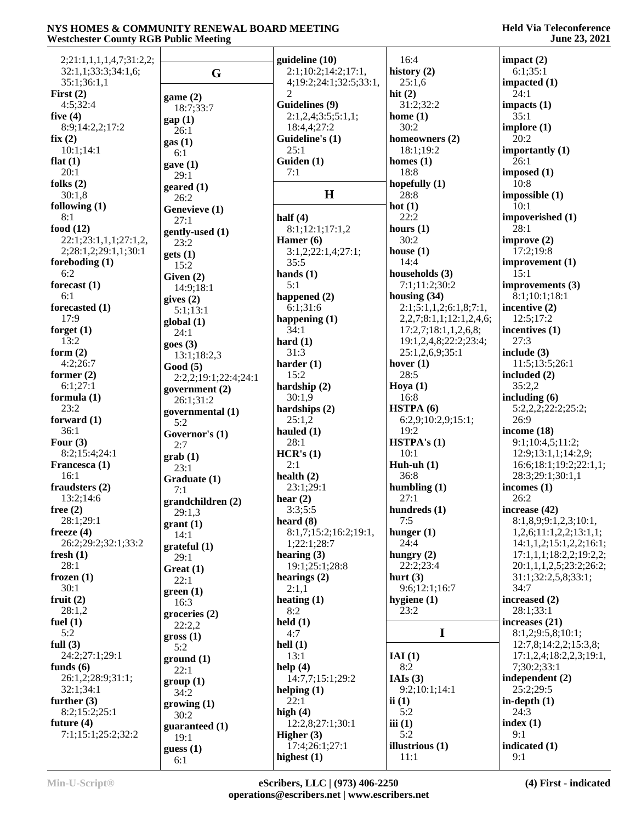| 2;21:1,1,1,1,4,7;31:2,2; |                            | guideline (10)                 | 16:4                              | impact $(2)$                                       |
|--------------------------|----------------------------|--------------------------------|-----------------------------------|----------------------------------------------------|
| 32:1,1;33:3;34:1,6;      | G                          | 2:1;10:2;14:2;17:1,            | history $(2)$                     | 6:1;35:1                                           |
| 35:1;36:1,1              |                            | 4;19:2;24:1;32:5;33:1,         | 25:1,6                            | impacted (1)                                       |
| First $(2)$              | game(2)                    | 2                              | hit $(2)$                         | 24:1                                               |
| 4:5;32:4                 | 18:7;33:7                  | Guidelines (9)                 | 31:2;32:2                         | impacts $(1)$                                      |
| five $(4)$               | gap(1)                     | 2:1,2,4;3:5;5:1,1;             | home $(1)$                        | 35:1                                               |
| 8:9;14:2,2;17:2          | 26:1                       | 18:4,4;27:2                    | 30:2                              | implore $(1)$                                      |
| fix(2)                   | gas(1)                     | Guideline's (1)                | homeowners (2)                    | 20:2                                               |
| 10:1;14:1                | 6:1                        | 25:1                           | 18:1;19:2                         | importantly $(1)$                                  |
| flat $(1)$               | gave(1)                    | Guiden (1)                     | homes $(1)$                       | 26:1                                               |
| 20:1                     | 29:1                       | 7:1                            | 18:8                              | imposed $(1)$                                      |
| folks $(2)$              | $\boldsymbol{g}$ eared (1) |                                | hopefully $(1)$                   | 10:8                                               |
| 30:1,8                   | 26:2                       | H                              | 28:8                              | impossible(1)                                      |
| following $(1)$          | Genevieve (1)              |                                | hot $(1)$                         | 10:1                                               |
| 8:1                      | 27:1                       | half $(4)$                     | 22:2                              | impoverished (1)                                   |
| food $(12)$              | gently-used (1)            | 8:1;12:1;17:1,2                | hours $(1)$                       | 28:1                                               |
| 22:1;23:1,1,1;27:1,2,    | 23:2                       | Hamer $(6)$                    | 30:2                              | improve $(2)$                                      |
| 2;28:1,2;29:1,1;30:1     | gets(1)                    | 3:1,2;22:1,4;27:1;             | house $(1)$                       | 17:2;19:8                                          |
| foreboding $(1)$         | 15:2                       | 35:5                           | 14:4                              | improvement (1)                                    |
| 6:2                      | Given (2)                  | hands $(1)$                    | households (3)                    | 15:1                                               |
| forecast (1)             | 14:9;18:1                  | 5:1                            | 7:1;11:2;30:2                     | improvements (3)                                   |
| 6:1                      | gives $(2)$                | happened $(2)$                 | housing $(34)$                    | 8:1;10:1;18:1                                      |
| forecasted (1)           | 5:1;13:1                   | 6:1;31:6                       | 2:1;5:1,1,2;6:1,8;7:1,            | incentive $(2)$                                    |
| 17:9                     | global (1)                 | happening $(1)$                | 2, 2, 7; 8: 1, 1; 12: 1, 2, 4, 6; | 12:5;17:2                                          |
| forget $(1)$             | 24:1                       | 34:1                           | 17:2,7;18:1,1,2,6,8;              | incentives (1)                                     |
| 13:2                     | goes(3)                    | hard $(1)$                     | 19:1,2,4,8;22:2;23:4;             | 27:3                                               |
| form $(2)$               | 13:1;18:2,3                | 31:3                           | 25:1,2,6,9;35:1                   | include $(3)$                                      |
| 4:2;26:7                 | Good(5)                    | harder $(1)$                   | hover $(1)$                       | 11:5;13:5;26:1                                     |
| former $(2)$             | 2:2,2;19:1;22:4;24:1       | 15:2                           | 28:5                              | included (2)                                       |
| 6:1;27:1                 | government (2)             | hardship $(2)$                 | Hoya $(1)$                        | 35:2,2                                             |
| formula (1)              | 26:1;31:2                  | 30:1,9                         | 16:8                              | including $(6)$                                    |
| 23:2                     | governmental (1)           | hardships $(2)$                | HSTPA(6)                          | 5:2,2,2;22:2;25:2;                                 |
| forward $(1)$            | 5:2                        | 25:1,2                         | 6:2,9;10:2,9;15:1;                | 26:9                                               |
| 36:1                     | Governor's (1)             | hauled $(1)$                   | 19:2                              | income $(18)$                                      |
| Four $(3)$               | 2:7                        | 28:1                           | HSTPA's(1)                        | 9:1;10:4,5;11:2;                                   |
| 8:2;15:4;24:1            | $grab(1)$                  | HCR's (1)                      | 10:1                              | 12:9;13:1,1;14:2,9;                                |
| Francesca (1)            | 23:1                       | 2:1                            | Huh-uh $(1)$                      | 16:6;18:1;19:2;22:1,1;                             |
| 16:1                     | Graduate (1)               | health $(2)$                   | 36:8                              | 28:3;29:1;30:1,1                                   |
| fraudsters (2)           | 7:1                        | 23:1;29:1                      | humbling $(1)$                    | incomes $(1)$                                      |
| 13:2;14:6                | grandchildren (2)          | hear $(2)$                     | 27:1                              | 26:2                                               |
| free $(2)$               | 29:1,3                     | 3:3;5:5                        | hundreds (1)                      | increase $(42)$                                    |
| 28:1;29:1                | grant(1)                   | heard $(8)$                    | 7:5                               | 8:1,8,9;9:1,2,3;10:1,                              |
| freeze $(4)$             | 14:1                       | 8:1,7;15:2;16:2;19:1,          | hunger $(1)$<br>24:4              | 1,2,6;11:1,2,2;13:1,1;                             |
| 26:2;29:2;32:1;33:2      | grateful(1)                | 1;22:1;28:7                    |                                   | 14:1,1,2;15:1,2,2;16:1;<br>17:1,1,1;18:2,2;19:2,2; |
| fresh $(1)$              | 29:1                       | hearing $(3)$                  | hungry $(2)$                      |                                                    |
| 28:1<br>frozen $(1)$     | Great(1)                   | 19:1;25:1;28:8<br>hearings (2) | 22:2;23:4<br>hurt $(3)$           | 20:1,1,1,2,5;23:2;26:2;<br>31:1;32:2,5,8;33:1;     |
| 30:1                     | 22:1                       | 2:1,1                          | 9:6;12:1;16:7                     | 34:7                                               |
| fruit $(2)$              | green(1)                   |                                | hygiene $(1)$                     | increased (2)                                      |
| 28:1,2                   | 16:3                       | heating $(1)$<br>8:2           | 23:2                              | 28:1;33:1                                          |
| fuel $(1)$               | groceries(2)               | $\text{held}(1)$               |                                   | increases $(21)$                                   |
| 5:2                      | 22:2,2                     | 4:7                            | $\mathbf I$                       | 8:1,2;9:5,8;10:1;                                  |
| full $(3)$               | $\text{gross} (1)$         | hell $(1)$                     |                                   | 12:7,8;14:2,2;15:3,8;                              |
| 24:2;27:1;29:1           | 5:2                        | 13:1                           | IAI(1)                            | 17:1,2,4;18:2,2,3;19:1,                            |
| funds $(6)$              | ground(1)                  | help $(4)$                     | 8:2                               | 7;30:2;33:1                                        |
| 26:1,2;28:9;31:1;        | 22:1                       | 14:7,7;15:1;29:2               | IAIs $(3)$                        | independent (2)                                    |
| 32:1;34:1                | group(1)                   | helping $(1)$                  | 9:2;10:1;14:1                     | 25:2;29:5                                          |
| further $(3)$            | 34:2                       | 22:1                           | ii $(1)$                          | in-depth $(1)$                                     |
| 8:2;15:2;25:1            | growing(1)                 | high $(4)$                     | 5:2                               | 24:3                                               |
| future $(4)$             | 30:2                       | 12:2,8;27:1;30:1               | iii(1)                            | index(1)                                           |
| 7:1;15:1;25:2;32:2       | guaranteed (1)             | Higher $(3)$                   | 5:2                               | 9:1                                                |
|                          | 19:1                       | 17:4;26:1;27:1                 | illustrious $(1)$                 | indicated (1)                                      |
|                          | guess(1)                   | highest $(1)$                  | 11:1                              | 9:1                                                |
|                          | 6:1                        |                                |                                   |                                                    |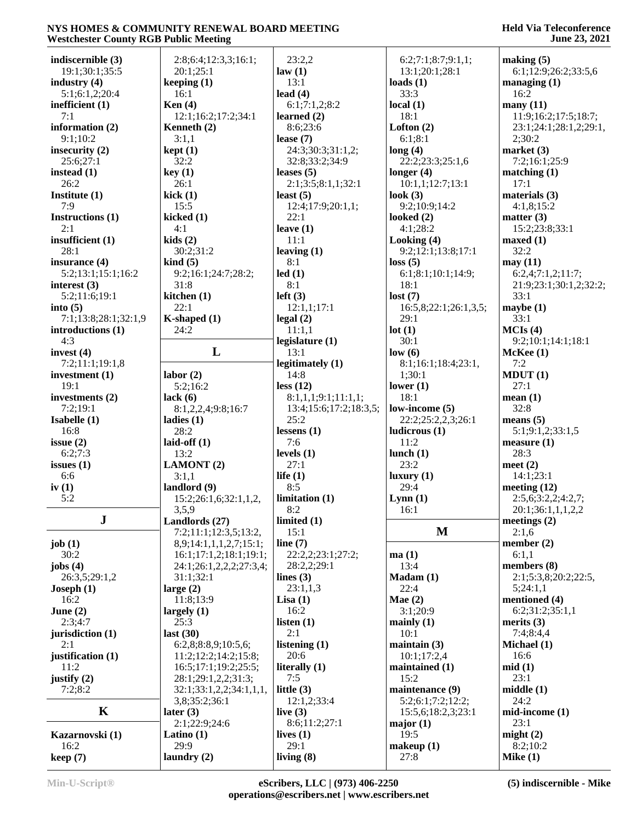#### **Held Via Teleconference June 23, 2021**

| indiscernible (3)    | 2:8;6:4;12:3,3;16:1;    | 23:2,2                 | 6:2;7:1;8:7;9:1,1;    | making $(5)$           |
|----------------------|-------------------------|------------------------|-----------------------|------------------------|
| 19:1;30:1;35:5       | 20:1;25:1               | law(1)                 | 13:1;20:1;28:1        | 6:1;12:9;26:2;33:5,6   |
|                      |                         | 13:1                   |                       |                        |
| industry $(4)$       | keeping $(1)$           |                        | loads $(1)$           | managing $(1)$         |
| 5:1;6:1,2;20:4       | 16:1                    | lead $(4)$             | 33:3                  | 16:2                   |
| inefficient (1)      | Ken $(4)$               | 6:1;7:1,2;8:2          | local(1)              | many(11)               |
| 7:1                  | 12:1;16:2;17:2;34:1     | learned $(2)$          | 18:1                  | 11:9;16:2;17:5;18:7;   |
| information (2)      | Kenneth (2)             | 8:6;23:6               | Lofton $(2)$          | 23:1;24:1;28:1,2;29:1, |
| 9:1;10:2             | 3:1,1                   | lease $(7)$            | 6:1;8:1               | 2;30:2                 |
|                      |                         |                        |                       |                        |
| insecurity $(2)$     | kept(1)                 | 24:3;30:3;31:1,2;      | long(4)               | market $(3)$           |
| 25:6;27:1            | 32:2                    | 32:8;33:2;34:9         | 22:2;23:3;25:1,6      | 7:2;16:1;25:9          |
| instead $(1)$        | key(1)                  | leases $(5)$           | longer $(4)$          | matching(1)            |
| 26:2                 | 26:1                    | 2:1;3:5;8:1,1;32:1     | 10:1,1;12:7;13:1      | 17:1                   |
| Institute (1)        | kick(1)                 | least $(5)$            | look $(3)$            | materials $(3)$        |
|                      |                         |                        |                       |                        |
| 7:9                  | 15:5                    | 12:4;17:9;20:1,1;      | 9:2;10:9;14:2         | 4:1,8;15:2             |
| Instructions (1)     | kicked $(1)$            | 22:1                   | looked $(2)$          | matter $(3)$           |
| 2:1                  | 4:1                     | leave $(1)$            | 4:1;28:2              | 15:2;23:8;33:1         |
| insufficient (1)     | kids(2)                 | 11:1                   | Looking (4)           | maxed(1)               |
| 28:1                 | 30:2;31:2               | leaving $(1)$          | 9:2;12:1;13:8;17:1    | 32:2                   |
| insurance (4)        | $\;$ kind $\;$ (5)      | 8:1                    | loss(5)               | may(11)                |
|                      |                         |                        |                       |                        |
| 5:2;13:1;15:1;16:2   | 9:2;16:1;24:7;28:2;     | led(1)                 | 6:1;8:1;10:1;14:9;    | 6:2,4;7:1,2;11:7;      |
| interest $(3)$       | 31:8                    | 8:1                    | 18:1                  | 21:9;23:1;30:1,2;32:2; |
| 5:2;11:6;19:1        | kitchen $(1)$           | left(3)                | lost(7)               | 33:1                   |
| into $(5)$           | 22:1                    | 12:1,1;17:1            | 16:5,8;22:1;26:1,3,5; | maybe(1)               |
|                      |                         |                        |                       |                        |
| 7:1;13:8;28:1;32:1,9 | K-shaped (1)            | legal(2)               | 29:1                  | 33:1                   |
| introductions (1)    | 24:2                    | 11:1,1                 | lot(1)                | MCIs(4)                |
| 4:3                  |                         | legislature (1)        | 30:1                  | 9:2;10:1;14:1;18:1     |
| invest $(4)$         | L                       | 13:1                   | low(6)                | McKee(1)               |
| 7:2;11:1;19:1,8      |                         | legitimately (1)       | 8:1;16:1;18:4;23:1,   | 7:2                    |
| investment $(1)$     | labor(2)                | 14:8                   | 1;30:1                | MDUT(1)                |
|                      |                         |                        |                       |                        |
| 19:1                 | 5:2;16:2                | less (12)              | lower $(1)$           | 27:1                   |
| investments (2)      | lack $(6)$              | 8:1,1,1;9:1;11:1,1;    | 18:1                  | mean(1)                |
| 7:2;19:1             | 8:1,2,2,4;9:8;16:7      | 13:4;15:6;17:2;18:3,5; | low-income (5)        | 32:8                   |
| Isabelle (1)         | ladies $(1)$            | 25:2                   | 22:2;25:2,2,3;26:1    | means $(5)$            |
| 16:8                 | 28:2                    | lessens $(1)$          | ludicrous(1)          | 5:1;9:1,2;33:1,5       |
|                      |                         |                        |                       |                        |
| issue $(2)$          | laid-off $(1)$          | 7:6                    | 11:2                  | measure(1)             |
| 6:2;7:3              | 13:2                    | levels $(1)$           | lunch $(1)$           | 28:3                   |
| issues $(1)$         | <b>LAMONT</b> (2)       | 27:1                   | 23:2                  | meet $(2)$             |
| 6:6                  | 3:1,1                   | life $(1)$             | luxury(1)             | 14:1;23:1              |
| iv $(1)$             | landlord $(9)$          | 8:5                    | 29:4                  | meeting $(12)$         |
|                      |                         |                        |                       |                        |
| 5:2                  | 15:2;26:1,6;32:1,1,2,   | limitation(1)          | Lynn(1)               | 2:5,6;3:2,2;4:2,7;     |
|                      | 3,5,9                   | 8:2                    | 16:1                  | 20:1;36:1,1,1,2,2      |
| ${\bf J}$            | Landlords (27)          | limited $(1)$          |                       | meetings (2)           |
|                      | 7:2;11:1;12:3,5;13:2,   | 15:1                   | $\mathbf{M}$          | 2:1,6                  |
| job $(1)$            | 8,9;14:1,1,1,2,7;15:1;  | line $(7)$             |                       | member $(2)$           |
| 30:2                 |                         |                        |                       |                        |
|                      | 16:1;17:1,2;18:1;19:1;  | 22:2,2;23:1;27:2;      | ma(1)                 | 6:1,1                  |
| jobs $(4)$           | 24:1;26:1,2,2,2;27:3,4; | 28:2,2;29:1            | 13:4                  | members (8)            |
| 26:3,5;29:1,2        | 31:1;32:1               | lines $(3)$            | Madam (1)             | 2:1;5:3,8;20:2;22:5,   |
| Joseph $(1)$         | large $(2)$             | 23:1,1,3               | 22:4                  | 5;24:1,1               |
| 16:2                 | 11:8;13:9               | Lisa(1)                | Mae $(2)$             | mentioned (4)          |
| June $(2)$           | largely $(1)$           | 16:2                   | 3:1;20:9              | 6:2;31:2;35:1,1        |
|                      |                         |                        |                       |                        |
| 2:3;4:7              | 25:3                    | listen $(1)$           | mainly $(1)$          | merits $(3)$           |
| jurisdiction (1)     | last $(30)$             | 2:1                    | 10:1                  | 7:4;8:4,4              |
| 2:1                  |                         | listening $(1)$        | maintain(3)           | Michael (1)            |
|                      | 6:2,8;8:8,9;10:5,6;     |                        |                       |                        |
|                      |                         |                        |                       |                        |
| justification (1)    | 11:2;12:2;14:2;15:8;    | 20:6                   | 10:1;17:2,4           | 16:6                   |
| 11:2                 | 16:5;17:1;19:2;25:5;    | literally $(1)$        | maintained (1)        | mid(1)                 |
| justify $(2)$        | 28:1;29:1,2,2;31:3;     | 7:5                    | 15:2                  | 23:1                   |
| 7:2;8:2              | 32:1;33:1,2,2;34:1,1,1, | little $(3)$           | maintenance (9)       | middle(1)              |
|                      | 3,8;35:2;36:1           | 12:1,2;33:4            |                       | 24:2                   |
|                      |                         |                        | 5:2;6:1;7:2;12:2;     |                        |
| $\mathbf K$          | later $(3)$             | live $(3)$             | 15:5,6;18:2,3;23:1    | $mid$ -income $(1)$    |
|                      | 2:1;22:9;24:6           | 8:6;11:2;27:1          | major(1)              | 23:1                   |
| Kazarnovski (1)      | Latino $(1)$            | lives $(1)$            | 19:5                  | might $(2)$            |
| 16:2<br>keep(7)      | 29:9<br>laundry $(2)$   | 29:1<br>living $(8)$   | makeup(1)<br>27:8     | 8:2;10:2<br>Mike $(1)$ |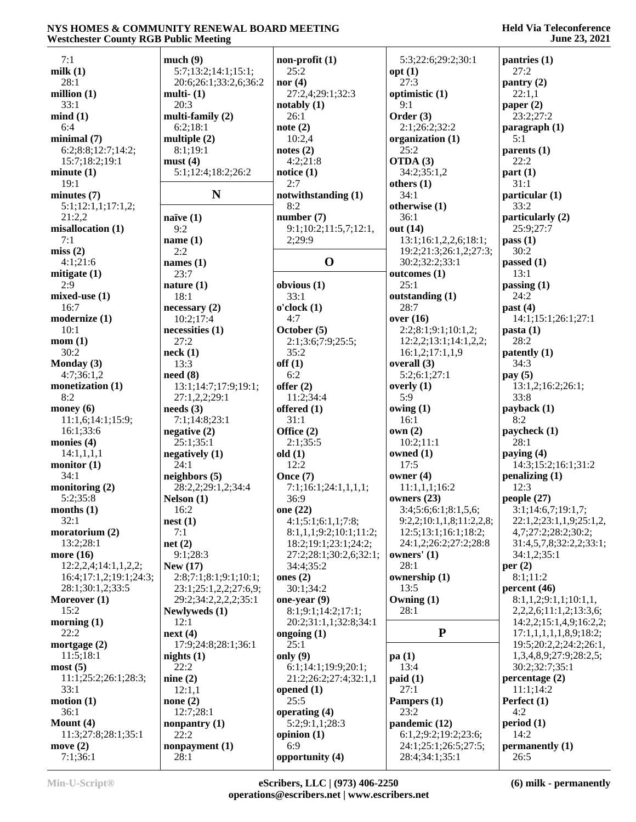| 7:1                    | much(9)               | $non-profit(1)$        | 5:3;22:6;29:2;30:1       | pantries (1)                |
|------------------------|-----------------------|------------------------|--------------------------|-----------------------------|
| milk $(1)$             | 5:7;13:2;14:1;15:1;   | 25:2                   | opt(1)                   | 27:2                        |
| 28:1                   | 20:6;26:1;33:2,6;36:2 | nor $(4)$              | 27:3                     | $\text{pantry}(2)$          |
| million $(1)$          | multi- $(1)$          | 27:2,4;29:1;32:3       | optimistic (1)           | 22:1,1                      |
| 33:1                   | 20:3                  | notably (1)            | 9:1                      | paper $(2)$                 |
| mind(1)                | multi-family $(2)$    | 26:1                   | Order $(3)$              | 23:2;27:2                   |
| 6:4                    | 6:2;18:1              | note $(2)$             | 2:1;26:2;32:2            | $\frac{1}{2}$ paragraph (1) |
| minimal(7)             | multiple $(2)$        | 10:2,4                 | organization (1)         | 5:1                         |
| 6:2;8:8;12:7;14:2;     | 8:1;19:1              | notes $(2)$            | 25:2                     | parents $(1)$               |
| 15:7;18:2;19:1         | must(4)               | 4:2;21:8               | OTDA (3)                 | 22:2                        |
|                        | 5:1;12:4;18:2;26:2    |                        | 34:2;35:1,2              |                             |
| minute(1)              |                       | notice $(1)$<br>2:7    |                          | part(1)                     |
| 19:1                   |                       |                        | others $(1)$             | 31:1                        |
| minutes <sub>(7)</sub> | N                     | notwithstanding (1)    | 34:1                     | particular (1)              |
| 5:1;12:1,1;17:1,2;     |                       | 8:2                    | otherwise (1)            | 33:2                        |
| 21:2,2                 | naïve $(1)$           | number $(7)$           | 36:1                     | particularly (2)            |
| misallocation (1)      | 9:2                   | 9:1;10:2;11:5,7;12:1,  | out (14)                 | 25:9;27:7                   |
| 7:1                    | name $(1)$            | 2;29:9                 | 13:1;16:1,2,2,6;18:1;    | pass(1)                     |
| miss(2)                | 2:2                   |                        | 19:2;21:3;26:1,2;27:3;   | 30:2                        |
| 4:1;21:6               | names $(1)$           | $\mathbf 0$            | 30:2;32:2;33:1           | passed $(1)$                |
| mitigate $(1)$         | 23:7                  |                        | outcomes(1)              | 13:1                        |
| 2:9                    | nature $(1)$          | obvious $(1)$          | 25:1                     | passing $(1)$               |
| $mixed$ -use $(1)$     | 18:1                  | 33:1                   | outstanding (1)          | 24:2                        |
| 16:7                   | necessary(2)          | o'clock(1)             | 28:7                     | past $(4)$                  |
| modernize (1)          | 10:2;17:4             | 4:7                    | over $(16)$              | 14:1;15:1;26:1;27:1         |
| 10:1                   | necessities (1)       | October (5)            | 2:2;8:1;9:1;10:1,2;      | pasta(1)                    |
| mom(1)                 | 27:2                  | 2:1;3:6;7:9;25:5;      | 12:2,2;13:1;14:1,2,2;    | 28:2                        |
| 30:2                   | neck(1)               | 35:2                   | 16:1,2;17:1,1,9          | patently (1)                |
| Monday (3)             | 13:3                  | off(1)                 | overall $(3)$            | 34:3                        |
|                        |                       | 6:2                    | 5:2;6:1;27:1             |                             |
| 4:7;36:1,2             | need(8)               |                        |                          | pay $(5)$                   |
| monetization (1)       | 13:1;14:7;17:9;19:1;  | offer $(2)$            | overly $(1)$             | 13:1,2;16:2;26:1;           |
| 8:2                    | 27:1,2,2;29:1         | 11:2;34:4              | 5:9                      | 33:8                        |
| money $(6)$            | needs(3)              | offered $(1)$          | owing $(1)$              | payback (1)                 |
| 11:1,6;14:1;15:9;      | 7:1;14:8;23:1         | 31:1                   | 16:1                     | 8:2                         |
| 16:1;33:6              | negative(2)           | Office $(2)$           | own(2)                   | paycheck (1)                |
| monies $(4)$           | 25:1;35:1             | 2:1;35:5               | 10:2;11:1                | 28:1                        |
| 14:1,1,1,1             | negatively $(1)$      | old(1)                 | owned (1)                | paying $(4)$                |
| monitor $(1)$          | 24:1                  | 12:2                   | 17:5                     | 14:3;15:2;16:1;31:2         |
| 34:1                   | neighbors $(5)$       | Once $(7)$             | owner $(4)$              | penalizing $(1)$            |
| monitoring $(2)$       | 28:2,2;29:1,2;34:4    | 7:1;16:1;24:1,1,1,1;   | 11:1,1,1;16:2            | 12:3                        |
| 5:2;35:8               | Nelson(1)             | 36:9                   | owners $(23)$            | people (27)                 |
| months(1)              | 16:2                  | one (22)               | 3:4;5:6;6:1;8:1,5,6;     | 3:1;14:6,7;19:1,7;          |
| 32:1                   | nest(1)               | 4:1;5:1;6:1,1;7:8;     | 9:2,2;10:1,1,8;11:2,2,8; | 22:1,2;23:1,1,9;25:1,2,     |
| moratorium (2)         | 7:1                   | 8:1,1,1;9:2;10:1;11:2; | 12:5;13:1;16:1;18:2;     | 4,7;27:2;28:2;30:2;         |
| 13:2;28:1              | net(2)                | 18:2;19:1;23:1;24:2;   | 24:1,2;26:2;27:2;28:8    | 31:4,5,7,8;32:2,2;33:1;     |
| more (16)              | 9:1;28:3              | 27:2;28:1;30:2,6;32:1; | owners' $(1)$            | 34:1,2;35:1                 |
| 12:2,2,4;14:1,1,2,2;   | New $(17)$            | 34:4;35:2              | 28:1                     | per $(2)$                   |
| 16:4;17:1,2;19:1;24:3; | 2:8;7:1;8:1;9:1;10:1; | ones $(2)$             |                          | 8:1:11:2                    |
|                        |                       |                        | ownership (1)            | percent $(46)$              |
| 28:1;30:1,2;33:5       | 23:1;25:1,2,2;27:6,9; | 30:1;34:2              | 13:5                     |                             |
| Moreover (1)           | 29:2;34:2,2,2,2;35:1  | one-year $(9)$         | Owning $(1)$             | 8:1,1,2;9:1,1;10:1,1,       |
| 15:2                   | Newlyweds (1)         | 8:1;9:1;14:2;17:1;     | 28:1                     | 2,2,2,6;11:1,2;13:3,6;      |
| morning $(1)$          | 12:1                  | 20:2;31:1,1;32:8;34:1  |                          | 14:2,2;15:1,4,9;16:2,2;     |
| 22:2                   | next(4)               | ongoing $(1)$          | ${\bf P}$                | 17:1,1,1,1,1,8,9;18:2;      |
| mortgage $(2)$         | 17:9;24:8;28:1;36:1   | 25:1                   |                          | 19:5;20:2,2;24:2;26:1,      |
| 11:5;18:1              | nights $(1)$          | only $(9)$             | pa(1)                    | 1,3,4,8,9;27:9;28:2,5;      |
| most(5)                | 22:2                  | 6:1;14:1;19:9;20:1;    | 13:4                     | 30:2;32:7;35:1              |
| 11:1;25:2;26:1;28:3;   | nine(2)               | 21:2;26:2;27:4;32:1,1  | paid(1)                  | percentage (2)              |
| 33:1                   | 12:1,1                | opened $(1)$           | 27:1                     | 11:1;14:2                   |
| motion(1)              | none $(2)$            | 25:5                   | Pampers (1)              | Perfect (1)                 |
| 36:1                   | 12:7;28:1             | operating (4)          | 23:2                     | 4:2                         |
| Mount $(4)$            | nonpantry $(1)$       | 5:2;9:1,1;28:3         | pandemic (12)            | period(1)                   |
| 11:3;27:8;28:1;35:1    | 22:2                  | opinion $(1)$          | 6:1,2;9:2;19:2;23:6;     | 14:2                        |
| move $(2)$             | nonpayment (1)        | 6:9                    | 24:1;25:1;26:5;27:5;     | permanently (1)             |
| 7:1;36:1               | 28:1                  | opportunity (4)        | 28:4;34:1;35:1           | 26:5                        |
|                        |                       |                        |                          |                             |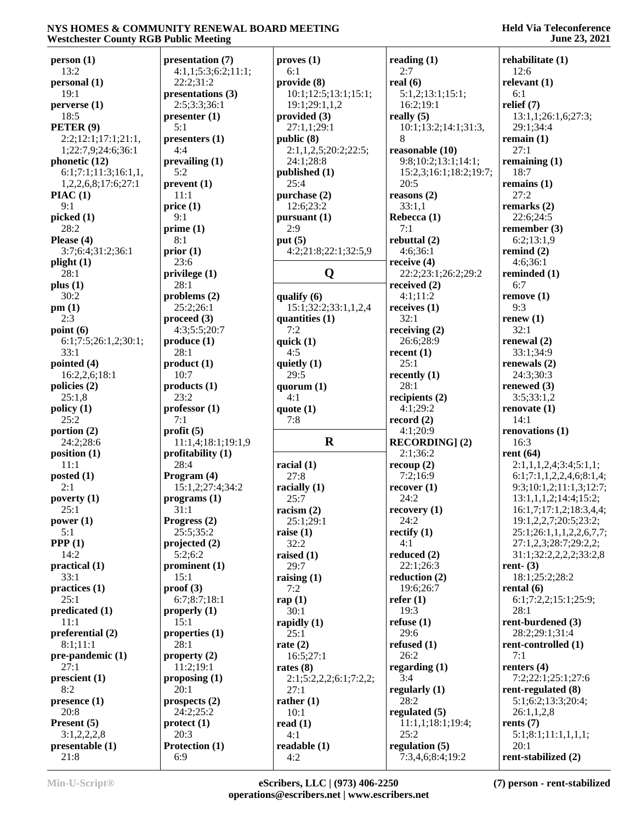| person (1)                          | presentation (7)                |
|-------------------------------------|---------------------------------|
| 13:2                                | 4:1,1;5:3;6:2;11                |
| personal (1)<br>19:1                | 22:2;31:2<br>presentations (3)  |
| perverse (1)                        | 2:5;3:3;36:1                    |
| 18:5                                | presenter(1)                    |
| PETER <sup>(9)</sup>                | 5:1                             |
| 2:2;12:1;17:1;21:1,                 | presenters <sub>(1)</sub>       |
| 1;22:7,9;24:6;36:1<br>phonetic (12) | 4:4<br>prevailing (1)           |
| 6:1;7:1;11:3;16:1,1,                | 5:2                             |
| 1,2,2,6,8;17:6;27:1                 | prevent (1)                     |
| PIAC(1)                             | 11:1                            |
| 9:1                                 | price(1)                        |
| picked (1)<br>28:2                  | 9:1<br>prime(1)                 |
| Please (4)                          | 8:1                             |
| 3:7;6:4;31:2;36:1                   | prior(1)                        |
| plight (1)                          | 23:6                            |
| 28:1                                | privilege (1)                   |
| plus (1)<br>30:2                    | 28:1<br>problems $(2)$          |
| pm (1)                              | 25:2;26:1                       |
| 2:3                                 | $\boldsymbol{proceed}\ (3)$     |
| point $(6)$                         | 4:3;5:5;20:7                    |
| 6:1;7:5;26:1,2;30:1;                | product(1)                      |
| 33:1                                | 28:1                            |
| pointed (4)<br>16:2,2,6;18:1        | product(1)<br>10:7              |
| policies (2)                        | products(1)                     |
| 25:1,8                              | 23:2                            |
| policy (1)                          | professor(1)                    |
| 25:2<br>portion (2)                 | 7:1<br>profit(5)                |
| 24:2;28:6                           | 11:1,4;18:1;19:1                |
| position (1)                        | profitability $(1)$             |
| 11:1                                | 28:4                            |
| posted (1)                          | Program (4)                     |
| 2:1<br>poverty (1)                  | 15:1,2;27:4;34:2<br>programs(1) |
| 25:1                                | 31:1                            |
| power (1)                           | Progress $(2)$                  |
| 5:1                                 | 25:5;35:2                       |
| PPP(1)                              | projected (2)                   |
| 14:2<br>practical (1)               | 5:2;6:2<br>prominent (1)        |
| 33:1                                | 15:1                            |
| practices (1)                       | proof(3)                        |
| 25:1                                | 6:7;8:7;18:1                    |
| predicated (1)                      | properly $(1)$                  |
| 11:1<br>preferential (2)            | 15:1<br>properties $(1)$        |
| 8:1;11:1                            | 28:1                            |
| pre-pandemic (1)                    | property $(2)$                  |
| 27:1                                | 11:2;19:1                       |
| prescient (1)                       | proposing $(1)$                 |
| 8:2<br>presence (1)                 | 20:1<br>prospects $(2)$         |
| 20:8                                | 24:2;25:2                       |
| Present (5)                         | protect (1)                     |
| 3:1,2,2,2,8                         | 20:3                            |
| presentable (1)<br>21:8             | Protection (1)<br>6:9           |
|                                     |                                 |

| 7)<br>2;11:1; | $\mathbf{proves}(\mathbf{1})$<br>6:1 | read<br>2:′ |
|---------------|--------------------------------------|-------------|
| (3)           | provide (8)<br>10:1;12:5;13:1;15:1;  | real<br>5:  |
|               | 19:1;29:1,1,2<br>provided (3)        | 16<br>reall |
|               | 27:1,1;29:1                          | 10          |
|               | public (8)                           | 8           |
|               | 2:1,1,2,5;20:2;22:5;<br>24:1;28:8    | reas<br>9:8 |
|               | published (1)                        | 15          |
|               | 25:4<br>purchase (2)                 | 20          |
|               | 12:6;23:2                            | reas<br>33  |
|               | pursuant (1)                         | Rebo        |
|               | 2:9<br>put $(5)$                     | 7:<br>rebu  |
|               | 4:2;21:8;22:1;32:5,9                 | 4:          |
|               |                                      | recei       |
|               | Q                                    | 22<br>recei |
|               | qualify (6)                          | 4:          |
|               | 15:1;32:2;33:1,1,2,4                 | recei       |
|               | quantities (1)<br>7:2                | 32<br>recei |
|               | quick $(1)$                          | 26          |
|               | 4:5                                  | recer<br>25 |
|               | quietly (1)<br>29:5                  | recer       |
|               | quorum $(1)$                         | 28          |
|               | 4:1<br>quote $(1)$                   | recip<br>4: |
|               |                                      |             |
|               | 7:8                                  | reco        |
|               |                                      | 4:          |
| 19:1,9        | $\bf R$                              | <b>REC</b>  |
| l)            | racial $(1)$                         | 2:<br>reco  |
| 34:2          | 27:8                                 | 7:<br>reco  |
|               | racially (1)<br>25:7                 | 24          |
|               | racism $(2)$                         | reco        |
|               | 25:1;29:1                            | 24<br>recti |
|               | raise $(1)$<br>32:2                  | 4:          |
|               | raised (1)                           | redu        |
|               | 29:7<br>raising $(1)$                | 22<br>redu  |
|               | 7:2<br>rap $(1)$                     | 19<br>refer |
|               | 30:1<br>rapidly $(1)$                | 19<br>refus |
|               | 25:1<br>rate $(2)$                   | 29<br>refus |
|               | 16:5;27:1                            | 26          |
|               | rates $(8)$                          | rega        |
|               | 2:1;5:2,2,2;6:1;7:2,2;<br>27:1       | 3:<br>regu  |
|               | rather $(1)$                         | 28          |
|               | 10:1<br>read $(1)$                   | regu<br>11  |
|               | 4:1                                  | 25          |
|               | readable (1)<br>4:2                  | regu<br>7:  |

|                                      | June 25, 2021                                     |
|--------------------------------------|---------------------------------------------------|
| reading (1)                          | rehabilitate (1)                                  |
| 2:7                                  | 12:6                                              |
| real $(6)$                           | relevant $(1)$                                    |
| 5:1,2;13:1;15:1;                     | 6:1                                               |
| 16:2;19:1                            | relief $(7)$                                      |
| really $(5)$<br>10:1;13:2;14:1;31:3, | 13:1,1;26:1,6;27:3;<br>29:1;34:4                  |
| 8                                    | remain $(1)$                                      |
| reasonable (10)                      | 27:1                                              |
| 9:8;10:2;13:1;14:1;                  | remaining $(1)$                                   |
| 15:2,3;16:1;18:2;19:7;               | 18:7                                              |
| 20:5                                 | remains $(1)$                                     |
| reasons(2)                           | 27:2                                              |
| 33:1,1                               | remarks $(2)$                                     |
| Rebecca (1)                          | 22:6;24:5                                         |
| 7:1                                  | remember (3)                                      |
| rebuttal (2)                         | 6:2;13:1,9                                        |
| 4:6;36:1                             | remind $(2)$                                      |
| receive (4)                          | 4:6;36:1                                          |
| 22:2;23:1;26:2;29:2                  | reminded (1)<br>6:7                               |
| received $(2)$<br>4:1;11:2           | remove(1)                                         |
| receives (1)                         | 9:3                                               |
| 32:1                                 | renew $(1)$                                       |
| receiving $(2)$                      | 32:1                                              |
| 26:6;28:9                            | renewal $(2)$                                     |
| recent (1)                           | 33:1;34:9                                         |
| 25:1                                 | renewals $(2)$                                    |
| recently (1)                         | 24:3;30:3                                         |
| 28:1                                 | renewed (3)                                       |
| recipients (2)                       | 3:5;33:1,2                                        |
| 4:1;29:2<br>record $(2)$             | renovate(1)<br>14:1                               |
| 4:1;20:9                             | renovations (1)                                   |
| <b>RECORDING</b> ] (2)               | 16:3                                              |
| 2:1;36:2                             | rent $(64)$                                       |
| recoup(2)                            | 2:1,1,1,2,4;3:4;5:1,1;                            |
| 7:2;16:9                             | 6:1;7:1,1,2,2,4,6;8:1,4;                          |
| recover(1)                           | 9:3;10:1,2;11:1,3;12:7;                           |
| 24:2                                 | 13:1,1,1,2;14:4;15:2;                             |
| recovery(1)                          | 16:1,7;17:1,2;18:3,4,4;                           |
| 24:2<br>rectify $(1)$                | 19:1,2,2,7;20:5;23:2;<br>25:1;26:1,1,1,2,2,6,7,7; |
| 4:1                                  | 27:1,2,3;28:7;29:2,2;                             |
| reduced (2)                          | 31:1;32:2,2,2,2;33:2,8                            |
| 22:1;26:3                            | rent- $(3)$                                       |
| reduction (2)                        | 18:1;25:2;28:2                                    |
| 19:6;26:7                            | rental $(6)$                                      |
| refer(1)                             | 6:1;7:2,2;15:1;25:9;                              |
| 19:3                                 | 28:1<br>rent-burdened (3)                         |
| refuse(1)<br>29:6                    | 28:2;29:1;31:4                                    |
| refused $(1)$                        | rent-controlled (1)                               |
| 26:2                                 | 7:1                                               |
| regarding $(1)$                      | renters $(4)$                                     |
| 3:4                                  | 7:2;22:1;25:1;27:6                                |
| regularly (1)                        | rent-regulated (8)                                |
| 28:2<br>regulated (5)                | 5:1;6:2;13:3;20:4;<br>26:1,1,2,8                  |
| 11:1,1;18:1;19:4;                    | rents $(7)$                                       |
| 25:2                                 | 5:1;8:1;11:1,1,1,1;                               |
| regulation (5)                       | 20:1                                              |
| 7:3,4,6;8:4;19:2                     | rent-stabilized (2)                               |
|                                      |                                                   |

**rents (7)** 5:1;8:1;11:1,1,1,1;  $20:1$ **rent-stabilized (2)**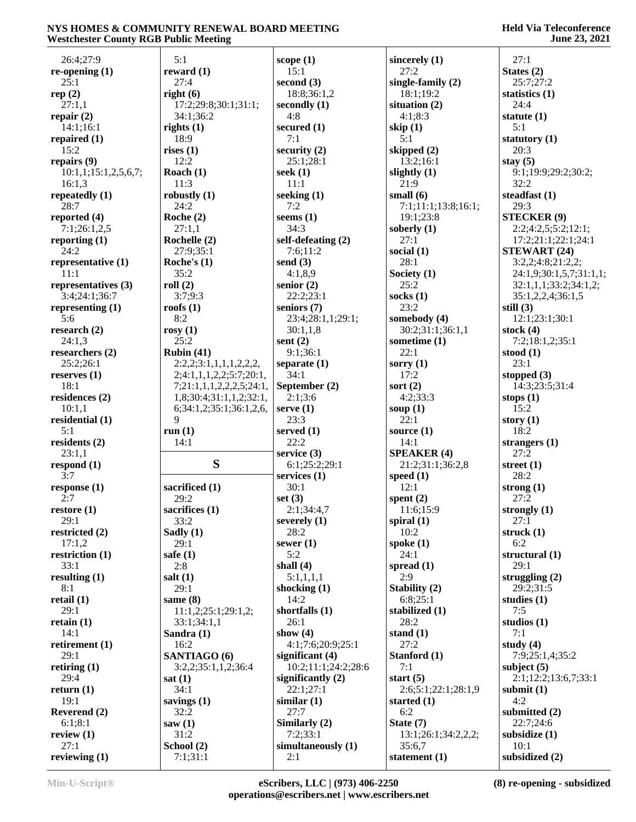| 26:4;27:9            | 5:1                      | scope $(1)$         | sincerely (1)       | 27:1                    |
|----------------------|--------------------------|---------------------|---------------------|-------------------------|
| re-opening $(1)$     | reward $(1)$             | 15:1                | 27:2                | States $(2)$            |
| 25:1                 | 27:4                     | second $(3)$        | single-family (2)   | 25:7;27:2               |
| rep $(2)$            | right $(6)$              | 18:8;36:1,2         | 18:1;19:2           | statistics $(1)$        |
| 27:1,1               | 17:2;29:8;30:1;31:1;     | secondly (1)        | situation (2)       | 24:4                    |
| repair $(2)$         | 34:1;36:2                | 4:8                 | 4:1;8:3             | statute $(1)$           |
| 14:1;16:1            | rights $(1)$             | secured $(1)$       | skip $(1)$          | 5:1                     |
| repaired $(1)$       | 18:9                     | 7:1                 | 5:1                 | statutory (1)           |
| 15:2                 | rises $(1)$              | security (2)        | skipped (2)         | 20:3                    |
|                      | 12:2                     |                     |                     |                         |
| repairs $(9)$        |                          | 25:1;28:1           | 13:2;16:1           | stay $(5)$              |
| 10:1,1;15:1,2,5,6,7; | Roach $(1)$              | seek $(1)$          | slightly (1)        | 9:1;19:9;29:2;30:2;     |
| 16:1,3               | 11:3                     | 11:1                | 21:9                | 32:2                    |
| repeatedly $(1)$     | robustly $(1)$           | seeking $(1)$       | small $(6)$         | steadfast $(1)$         |
| 28:7                 | 24:2                     | 7:2                 | 7:1;11:1;13:8;16:1; | 29:3                    |
| reported $(4)$       | Roche $(2)$              | seems $(1)$         | 19:1;23:8           | <b>STECKER (9)</b>      |
| 7:1;26:1,2,5         | 27:1,1                   | 34:3                | soberly $(1)$       | 2:2;4:2,5;5:2;12:1;     |
| reporting $(1)$      | Rochelle (2)             | self-defeating (2)  | 27:1                | 17:2;21:1;22:1;24:1     |
| 24:2                 | 27:9;35:1                | 7:6;11:2            | social $(1)$        | <b>STEWART (24)</b>     |
| representative (1)   | Roche's $(1)$            | send $(3)$          | 28:1                | 3:2,2;4:8;21:2,2;       |
| 11:1                 | 35:2                     | 4:1,8,9             | Society (1)         | 24:1,9;30:1,5,7;31:1,1; |
| representatives (3)  | roll(2)                  | senior $(2)$        | 25:2                | 32:1,1,1;33:2;34:1,2;   |
| 3:4;24:1;36:7        | 3:7;9:3                  | 22:2;23:1           | socks $(1)$         | 35:1,2,2,4;36:1,5       |
| representing $(1)$   | roofs $(1)$              | seniors (7)         | 23:2                | still $(3)$             |
| 5:6                  | 8:2                      | 23:4;28:1,1;29:1;   | somebody (4)        | 12:1;23:1;30:1          |
| research $(2)$       | rosy $(1)$               | 30:1,1,8            | 30:2;31:1;36:1,1    | stock $(4)$             |
| 24:1,3               | 25:2                     | sent $(2)$          | sometime (1)        | 7:2;18:1,2;35:1         |
| researchers (2)      | Rubin $(41)$             | 9:1;36:1            | 22:1                | stood $(1)$             |
| 25:2;26:1            | 2:2,2;3:1,1,1,1,2,2,2,   | separate $(1)$      | sorry $(1)$         | 23:1                    |
| reserves $(1)$       | 2;4:1,1,1,2,2;5:7;20:1,  | 34:1                | 17:2                | stopped $(3)$           |
| 18:1                 | 7;21:1,1,1,2,2,2,5;24:1, | September (2)       | sort $(2)$          | 14:3;23:5;31:4          |
| residences $(2)$     | 1,8;30:4;31:1,1,2;32:1,  | 2:1;3:6             | 4:2;33:3            | stops $(1)$             |
| 10:1,1               | 6;34:1,2;35:1;36:1,2,6,  | serve $(1)$         | soup $(1)$          | 15:2                    |
| residential (1)      | 9                        | 23:3                | 22:1                | story $(1)$             |
| 5:1                  | run(1)                   | served $(1)$        | source $(1)$        | 18:2                    |
| residents $(2)$      | 14:1                     | 22:2                | 14:1                | strangers $(1)$         |
| 23:1,1               |                          | service $(3)$       | <b>SPEAKER (4)</b>  | 27:2                    |
| respond $(1)$        | S                        | 6:1;25:2;29:1       | 21:2;31:1;36:2,8    | street $(1)$            |
| 3:7                  |                          | services $(1)$      | speed $(1)$         | 28:2                    |
| response(1)          | sacrificed (1)           | 30:1                | 12:1                | strong $(1)$            |
| 2:7                  | 29:2                     | set $(3)$           | spent $(2)$         | 27:2                    |
| restore(1)           | sacrifices (1)           | 2:1;34:4,7          | 11:6;15:9           | strongly $(1)$          |
| 29:1                 | 33:2                     | severely $(1)$      | spiral $(1)$        | 27:1                    |
| restricted (2)       | Sadly (1)                | 28:2                | 10:2                | struck $(1)$            |
| 17:1,2               | 29:1                     | sewer $(1)$         | spoke $(1)$         | 6:2                     |
| restriction $(1)$    | safe $(1)$               | 5:2                 | 24:1                | structural $(1)$        |
| 33:1                 | 2:8                      | shall $(4)$         | spread $(1)$        | 29:1                    |
| resulting $(1)$      | salt $(1)$               | 5:1,1,1,1           | 2:9                 | struggling $(2)$        |
| 8:1                  | 29:1                     | shocking $(1)$      | Stability (2)       | 29:2;31:5               |
| retail $(1)$         | same $(8)$               | 14:2                | 6:8;25:1            | studies $(1)$           |
| 29:1                 | 11:1,2;25:1;29:1,2;      | shortfalls $(1)$    | stabilized (1)      | 7:5                     |
| retain $(1)$         | 33:1;34:1,1              | 26:1                | 28:2                | studios $(1)$           |
| 14:1                 | Sandra (1)               | show $(4)$          | stand $(1)$         | 7:1                     |
| retirement (1)       | 16:2                     | 4:1;7:6;20:9;25:1   | 27:2                | study $(4)$             |
| 29:1                 | SANTIAGO (6)             | significant $(4)$   | Stanford (1)        | 7:9;25:1,4;35:2         |
| retiring $(1)$       | 3:2,2;35:1,1,2;36:4      | 10:2;11:1;24:2;28:6 | 7:1                 | subject $(5)$           |
| 29:4                 | sat(1)                   | significantly $(2)$ | start $(5)$         | 2:1;12:2;13:6,7;33:1    |
| return $(1)$         | 34:1                     | 22:1;27:1           | 2:6;5:1;22:1;28:1,9 | submit $(1)$            |
| 19:1                 | savings $(1)$            | similar(1)          | started (1)         | 4:2                     |
| Reverend (2)         | 32:2                     | 27:7                | 6:2                 | submitted (2)           |
| 6:1;8:1              | saw(1)                   | Similarly (2)       | State (7)           | 22:7;24:6               |
| review $(1)$         | 31:2                     | 7:2;33:1            | 13:1;26:1;34:2,2,2; | subsidize $(1)$         |
| 27:1                 | School (2)               | simultaneously (1)  | 35:6,7              | 10:1                    |
| reviewing $(1)$      | 7:1;31:1                 | 2:1                 | statement $(1)$     | subsidized (2)          |
|                      |                          |                     |                     |                         |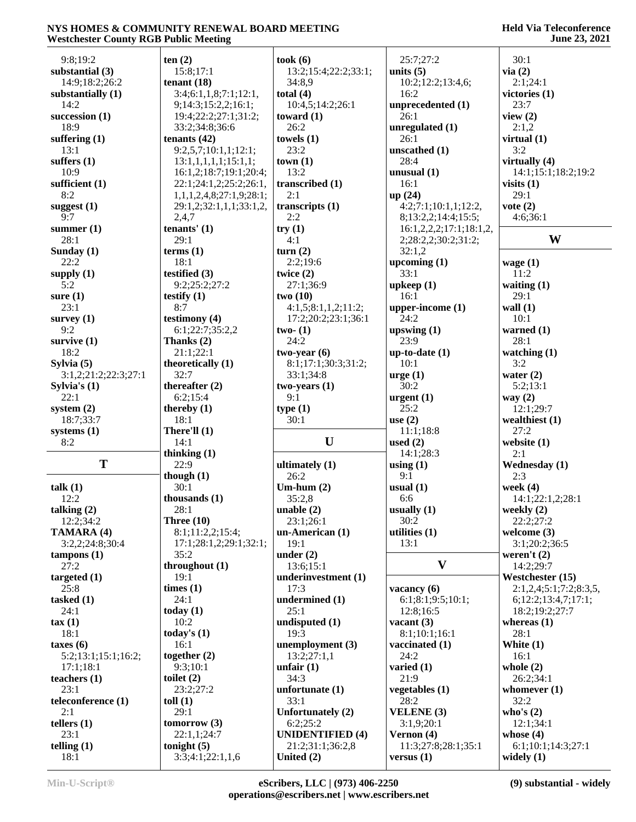#### **Held Via Teleconference June 23, 2021**

| 9:8:19:2              | ten(2)                            | took(6)                          | 25:7;27:2                           | 30:1                               |
|-----------------------|-----------------------------------|----------------------------------|-------------------------------------|------------------------------------|
| substantial (3)       | 15:8;17:1                         | 13:2;15:4;22:2;33:1;             | units $(5)$                         | via(2)                             |
| 14:9;18:2;26:2        | tenant $(18)$                     | 34:8,9                           | 10:2;12:2;13:4,6;                   | 2:1;24:1                           |
|                       | 3:4;6:1,1,8;7:1;12:1,             | total $(4)$                      | 16:2                                | victories $(1)$                    |
| substantially (1)     |                                   |                                  |                                     |                                    |
| 14:2                  | 9;14:3;15:2,2;16:1;               | 10:4,5;14:2;26:1                 | unprecedented (1)                   | 23:7                               |
| succession $(1)$      | 19:4;22:2;27:1;31:2;              | toward $(1)$                     | 26:1                                | view $(2)$                         |
| 18:9                  | 33:2;34:8;36:6                    | 26:2                             | unregulated (1)                     | 2:1,2                              |
| suffering $(1)$       | tenants $(42)$                    | towels $(1)$                     | 26:1                                | virtual $(1)$                      |
| 13:1                  | 9:2,5,7;10:1,1;12:1;              | 23:2                             | unscathed (1)                       | 3:2                                |
| suffers $(1)$         | 13:1,1,1,1,1;15:1,1;              | town(1)                          | 28:4                                | virtually $(4)$                    |
| 10:9                  | 16:1,2;18:7;19:1;20:4;            | 13:2                             | unusual $(1)$                       | 14:1;15:1;18:2;19:2                |
| sufficient $(1)$      | 22:1;24:1,2;25:2;26:1,            | transcribed (1)                  | 16:1                                | visits $(1)$                       |
| 8:2                   |                                   |                                  |                                     | 29:1                               |
|                       | 1,1,1,2,4,8;27:1,9;28:1;          | 2:1                              | up(24)                              |                                    |
| suggest $(1)$         | 29:1,2;32:1,1,1;33:1,2,           | transcripts (1)                  | 4:2;7:1;10:1,1;12:2,                | vote $(2)$                         |
| 9:7                   | 2,4,7                             | 2:2                              | 8;13:2,2;14:4;15:5;                 | 4:6;36:1                           |
| summer $(1)$          | tenants' $(1)$                    | try(1)                           | 16:1,2,2,2;17:1;18:1,2,             |                                    |
| 28:1                  | 29:1                              | 4:1                              | 2;28:2,2;30:2;31:2;                 | W                                  |
| Sunday $(1)$          | terms <sub>(1)</sub>              | turn(2)                          | 32:1,2                              |                                    |
| 22:2                  | 18:1                              | 2:2;19:6                         | upcoming $(1)$                      | wage $(1)$                         |
| supply $(1)$          | testified (3)                     | twice $(2)$                      | 33:1                                | 11:2                               |
| 5:2                   | 9:2;25:2;27:2                     | 27:1;36:9                        | upkeep(1)                           | waiting $(1)$                      |
|                       |                                   |                                  |                                     |                                    |
| sure $(1)$            | testify $(1)$                     | two(10)                          | 16:1                                | 29:1                               |
| 23:1                  | 8:7                               | 4:1,5;8:1,1,2;11:2;              | upper-income $(1)$                  | wall $(1)$                         |
| survey $(1)$          | testimony $(4)$                   | 17:2;20:2;23:1;36:1              | 24:2                                | 10:1                               |
| 9:2                   | 6:1;22:7;35:2,2                   | two- $(1)$                       | upswing $(1)$                       | warned $(1)$                       |
| survive $(1)$         | Thanks $(2)$                      | 24:2                             | 23:9                                | 28:1                               |
| 18:2                  | 21:1;22:1                         | $two-year(6)$                    | $up-to-date (1)$                    | watching $(1)$                     |
| Sylvia $(5)$          | theoretically (1)                 | 8:1;17:1;30:3;31:2;              | 10:1                                | 3:2                                |
| 3:1,2;21:2;22:3;27:1  | 32:7                              | 33:1;34:8                        | $\arg e(1)$                         | water $(2)$                        |
| Sylvia's $(1)$        | thereafter $(2)$                  | $two-years(1)$                   | 30:2                                | 5:2;13:1                           |
|                       |                                   |                                  |                                     |                                    |
| 22:1                  | 6:2;15:4                          | 9:1                              | $\mathbf{urgent}\left(1\right)$     | way $(2)$                          |
|                       |                                   |                                  |                                     |                                    |
| system $(2)$          | thereby $(1)$                     | type(1)                          | 25:2                                | 12:1;29:7                          |
| 18:7;33:7             | 18:1                              | 30:1                             | use $(2)$                           | wealthiest $(1)$                   |
|                       | There'll $(1)$                    |                                  | 11:1;18:8                           | 27:2                               |
| systems (1)           | 14:1                              | $\mathbf U$                      |                                     |                                    |
| 8:2                   |                                   |                                  | used $(2)$                          | website $(1)$                      |
|                       | thinking $(1)$                    |                                  | 14:1;28:3                           | 2:1                                |
| T                     | 22:9                              | ultimately (1)                   | using $(1)$                         | <b>Wednesday</b> (1)               |
|                       | though $(1)$                      | 26:2                             | 9:1                                 | 2:3                                |
| talk $(1)$            | 30:1                              | Um-hum $(2)$                     | usual $(1)$                         | week $(4)$                         |
| 12:2                  | thousands $(1)$                   | 35:2,8                           | 6:6                                 | 14:1;22:1,2;28:1                   |
| talking $(2)$         | 28:1                              | unable $(2)$                     | usually $(1)$                       | weekly $(2)$                       |
| 12:2;34:2             | Three $(10)$                      | 23:1;26:1                        | 30:2                                | 22:2;27:2                          |
| TAMARA (4)            | 8:1;11:2,2;15:4;                  | un-American (1)                  | utilities (1)                       | welcome $(3)$                      |
|                       | 17:1;28:1,2;29:1;32:1;            | 19:1                             | 13:1                                | 3:1;20:2;36:5                      |
| 3:2,2;24:8;30:4       |                                   |                                  |                                     |                                    |
| $t$ ampons $(1)$      | 35:2                              | under $(2)$                      |                                     | weren't $(2)$                      |
| 27:2                  | throughout $(1)$                  | 13:6;15:1                        | $\mathbf{V}$                        | 14:2;29:7                          |
| targeted $(1)$        | 19:1                              | underinvestment (1)              |                                     | Westchester (15)                   |
| 25:8                  | times (1)                         | 17:3                             | vacancy $(6)$                       | 2:1,2,4;5:1;7:2;8:3,5,             |
| tasked $(1)$          | 24:1                              | undermined (1)                   | 6:1;8:1;9:5;10:1;                   | 6; 12:2; 13:4,7; 17:1;             |
| 24:1                  | today $(1)$                       | 25:1                             | 12:8;16:5                           | 18:2;19:2;27:7                     |
| $\tan(1)$             | 10:2                              | undisputed $(1)$                 | vacant $(3)$                        | whereas $(1)$                      |
| 18:1                  |                                   | 19:3                             | 8:1;10:1;16:1                       | 28:1                               |
|                       | today's $(1)$<br>16:1             |                                  |                                     |                                    |
| taxes(6)              |                                   | unemployment (3)                 | vaccinated (1)                      | White (1)                          |
| 5:2;13:1;15:1;16:2;   | together (2)                      | 13:2;27:1,1                      | 24:2                                | 16:1                               |
| 17:1;18:1             | 9:3;10:1                          | unfair $(1)$                     | varied $(1)$                        | whole $(2)$                        |
| teachers $(1)$        | toilet $(2)$                      | 34:3                             | 21:9                                | 26:2;34:1                          |
| 23:1                  | 23:2;27:2                         | unfortunate $(1)$                | vegetables (1)                      | whomever $(1)$                     |
| teleconference (1)    | toll $(1)$                        | 33:1                             | 28:2                                | 32:2                               |
| 2:1                   | 29:1                              | Unfortunately (2)                | <b>VELENE</b> (3)                   | who's $(2)$                        |
|                       | tomorrow $(3)$                    | 6:2;25:2                         | 3:1,9;20:1                          | 12:1;34:1                          |
| tellers $(1)$         |                                   |                                  |                                     |                                    |
| 23:1                  | 22:1,1;24:7                       | <b>UNIDENTIFIED (4)</b>          | Vernon (4)                          | whose $(4)$                        |
| telling $(1)$<br>18:1 | tonight $(5)$<br>3:3;4:1;22:1,1,6 | 21:2;31:1;36:2,8<br>United $(2)$ | 11:3;27:8;28:1;35:1<br>versus $(1)$ | 6:1;10:1;14:3;27:1<br>widely $(1)$ |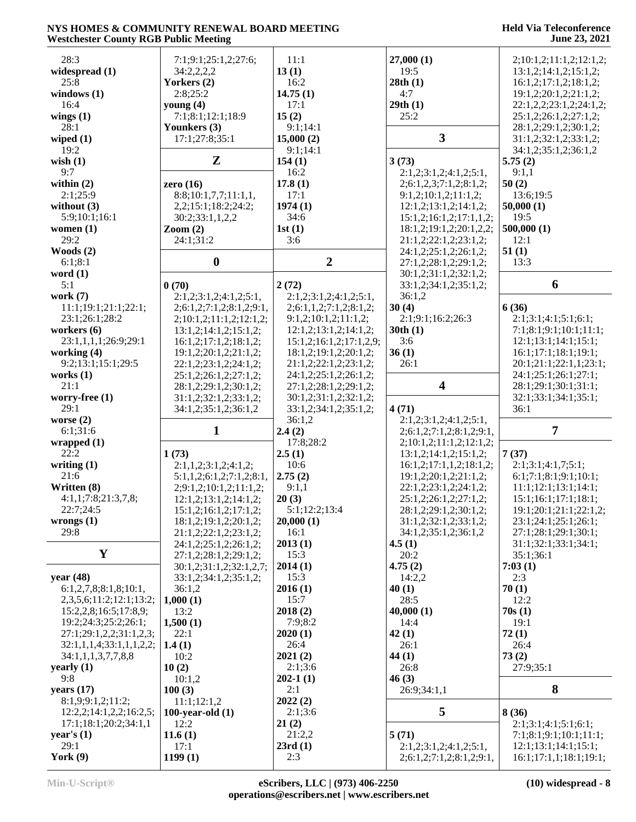| 28:3                             | 7:1;9:1;25:1,2;27:6;                | 11:1                             | 27,000(1)                                          | 2;10:1,2;11:1,2;12:1,2;                        |
|----------------------------------|-------------------------------------|----------------------------------|----------------------------------------------------|------------------------------------------------|
| widespread (1)                   | 34:2,2,2,2                          | 13(1)                            | 19:5                                               | 13:1,2;14:1,2;15:1,2;                          |
| 25:8                             | Yorkers (2)                         | 16:2                             | 28th(1)                                            | 16:1,2;17:1,2;18:1,2;                          |
| windows $(1)$                    | 2:8;25:2                            | 14.75(1)                         | 4:7                                                | 19:1,2;20:1,2;21:1,2;                          |
| 16:4                             | young $(4)$                         | 17:1                             | 29th(1)                                            | 22:1,2,2;23:1,2;24:1,2;                        |
| wings $(1)$                      | 7:1;8:1;12:1;18:9                   | 15(2)                            | 25:2                                               | 25:1,2;26:1,2;27:1,2;                          |
| 28:1                             | Younkers (3)                        | 9:1;14:1                         |                                                    | 28:1,2;29:1,2;30:1,2;                          |
| wiped $(1)$                      | 17:1;27:8;35:1                      | 15,000(2)                        | $\overline{\mathbf{3}}$                            | 31:1,2;32:1,2;33:1,2;                          |
| 19:2                             |                                     | 9:1;14:1                         |                                                    | 34:1,2;35:1,2;36:1,2                           |
| wish $(1)$                       | $\mathbf{Z}$                        | 154(1)                           | 3(73)                                              | 5.75(2)                                        |
| 9:7                              |                                     | 16:2                             | 2:1,2;3:1,2;4:1,2;5:1,                             | 9:1,1                                          |
| within $(2)$                     | zero $(16)$                         | 17.8(1)                          | 2;6:1,2,3;7:1,2;8:1,2;                             | 50(2)                                          |
| 2:1:25:9                         | 8:8;10:1,7,7;11:1,1,                | 17:1                             | 9:1,2;10:1,2;11:1,2;                               | 13:6:19:5                                      |
| without $(3)$                    | 2,2;15:1;18:2;24:2;                 | 1974(1)                          | 12:1,2;13:1,2;14:1,2;                              | 50,000(1)                                      |
| 5:9;10:1;16:1                    | 30:2;33:1,1,2,2                     | 34:6                             | 15:1,2;16:1,2;17:1,1,2;                            | 19:5                                           |
| women $(1)$                      | $\mathrm{Zoom}\left( 2\right)$      | 1st(1)                           | 18:1,2;19:1,2;20:1,2,2;                            | 500,000(1)                                     |
| 29:2                             | 24:1;31:2                           | 3:6                              | 21:1,2;22:1,2;23:1,2;                              | 12:1                                           |
| Woods $(2)$                      |                                     |                                  | 24:1,2;25:1,2;26:1,2;                              | 51(1)                                          |
| 6:1:8:1                          | $\boldsymbol{0}$                    | $\overline{2}$                   | 27:1,2;28:1,2;29:1,2;                              | 13:3                                           |
| word $(1)$                       |                                     |                                  | 30:1,2;31:1,2;32:1,2;                              |                                                |
| 5:1                              | 0(70)                               | 2(72)                            | 33:1,2;34:1,2;35:1,2;                              | 6                                              |
| work $(7)$                       | 2:1,2;3:1,2;4:1,2;5:1,              | 2:1,2;3:1,2;4:1,2;5:1,           | 36:1,2                                             |                                                |
| 11:1;19:1;21:1;22:1;             | 2; 6; 1, 2; 7; 1, 2; 8; 1, 2; 9; 1, | 2; 6: 1, 1, 2; 7: 1, 2; 8: 1, 2; | 30(4)                                              | 6(36)                                          |
| 23:1;26:1;28:2                   |                                     |                                  |                                                    |                                                |
|                                  | 2;10:1,2;11:1,2;12:1,2;             | 9:1,2;10:1,2;11:1,2;             | 2:1;9:1;16:2;26:3                                  | 2:1;3:1;4:1;5:1;6:1;                           |
| workers $(6)$                    | 13:1,2;14:1,2;15:1,2;               | 12:1,2;13:1,2;14:1,2;            | 30th(1)                                            | 7:1;8:1;9:1;10:1;11:1;                         |
| 23:1,1,1,1;26:9;29:1             | 16:1,2;17:1,2;18:1,2;               | 15:1,2;16:1,2;17:1,2,9;          | 3:6                                                | 12:1;13:1;14:1;15:1;                           |
| working (4)                      | 19:1,2;20:1,2;21:1,2;               | 18:1,2;19:1,2;20:1,2;            | 36(1)                                              | 16:1;17:1;18:1;19:1;                           |
| 9:2;13:1;15:1;29:5               | 22:1,2;23:1,2;24:1,2;               | 21:1,2;22:1,2;23:1,2;            | 26:1                                               | 20:1;21:1;22:1,1;23:1;                         |
| works $(1)$                      | 25:1,2;26:1,2;27:1,2;               | 24:1,2;25:1,2;26:1,2;            |                                                    | 24:1;25:1;26:1;27:1;                           |
| 21:1                             | 28:1,2;29:1,2;30:1,2;               | 27:1,2;28:1,2;29:1,2;            | $\overline{\mathbf{4}}$                            | 28:1;29:1;30:1;31:1;                           |
| worry-free (1)                   | 31:1,2;32:1,2;33:1,2;               | 30:1,2;31:1,2;32:1,2;            |                                                    | 32:1;33:1;34:1;35:1;                           |
| 29:1                             | 34:1,2;35:1,2;36:1,2                | 33:1,2;34:1,2;35:1,2;            | 4(71)                                              | 36:1                                           |
|                                  |                                     |                                  |                                                    |                                                |
| worse $(2)$                      |                                     | 36:1,2                           | 2:1,2;3:1,2;4:1,2;5:1,                             |                                                |
| 6:1;31:6                         | $\mathbf{1}$                        | 2.4(2)                           | 2;6:1,2;7:1,2;8:1,2;9:1,                           | $\overline{7}$                                 |
| wrapped(1)                       |                                     | 17:8;28:2                        | 2;10:1,2;11:1,2;12:1,2;                            |                                                |
| 22:2                             | 1(73)                               | 2.5(1)                           | 13:1,2;14:1,2;15:1,2;                              | 7(37)                                          |
| writing $(1)$                    | 2:1,1,2;3:1,2;4:1,2;                | 10:6                             | 16:1,2;17:1,1,2;18:1,2;                            | 2:1;3:1;4:1,7;5:1;                             |
| 21:6                             | 5:1,1,2;6:1,2;7:1,2;8:1,            | 2.75(2)                          | 19:1,2;20:1,2;21:1,2;                              | 6:1;7:1;8:1;9:1;10:1;                          |
| Written (8)                      |                                     | 9:1,1                            | 22:1,2;23:1,2;24:1,2;                              | 11:1;12:1;13:1;14:1;                           |
| 4:1,1;7:8;21:3,7,8;              | 2; 9: 1, 2; 10: 1, 2; 11: 1, 2;     | 20(3)                            | 25:1,2;26:1,2;27:1,2;                              | 15:1;16:1;17:1;18:1;                           |
| 22:7;24:5                        | 12:1,2;13:1,2;14:1,2;               |                                  |                                                    |                                                |
|                                  | 15:1,2;16:1,2;17:1,2;               | 5:1;12:2;13:4                    | 28:1,2;29:1,2;30:1,2;                              | 19:1;20:1;21:1;22:1,2;<br>23:1;24:1;25:1;26:1; |
| wrongs(1)<br>29:8                | 18:1,2;19:1,2;20:1,2;               | 20,000(1)                        | 31:1,2;32:1,2;33:1,2;                              |                                                |
|                                  | 21:1,2;22:1,2;23:1,2;               | 16:1                             | 34:1,2;35:1,2;36:1,2                               | 27:1;28:1;29:1;30:1;                           |
| $\mathbf Y$                      | 24:1,2;25:1,2;26:1,2;               | 2013(1)                          | 4.5(1)                                             | 31:1;32:1;33:1;34:1;                           |
|                                  | 27:1,2;28:1,2;29:1,2;               | 15:3                             | 20:2                                               | 35:1;36:1                                      |
|                                  | 30:1,2;31:1,2;32:1,2,7;             | 2014(1)                          | 4.75(2)                                            | 7:03(1)                                        |
| year $(48)$                      | 33:1,2;34:1,2;35:1,2;               | 15:3                             | 14:2,2                                             | 2:3                                            |
| 6:1,2,7,8;8:1,8;10:1,            | 36:1,2                              | 2016(1)                          | 40(1)                                              | 70(1)                                          |
| 2, 3, 5, 6; 11: 2; 12: 1; 13: 2; | 1,000(1)                            | 15:7                             | 28:5                                               | 12:2                                           |
| 15:2,2,8;16:5;17:8,9;            | 13:2                                | 2018(2)                          | 40,000(1)                                          | 70s(1)                                         |
| 19:2;24:3;25:2;26:1;             | 1,500(1)                            | 7:9;8:2                          | 14:4                                               | 19:1                                           |
| 27:1;29:1,2,2;31:1,2,3;          | 22:1                                | 2020(1)                          | 42(1)                                              | 72(1)                                          |
| 32:1,1,1,4;33:1,1,1,2,2;         | 1.4(1)                              | 26:4                             | 26:1                                               | 26:4                                           |
| 34:1,1,1,3,7,7,8,8               | 10:2                                | 2021(2)                          | 44 $(1)$                                           | 73(2)                                          |
| yearly $(1)$                     | 10(2)                               | 2:1;3:6                          | 26:8                                               | 27:9;35:1                                      |
| 9:8                              | 10:1,2                              | $202-1(1)$                       | 46(3)                                              |                                                |
| years $(17)$                     | 100(3)                              | 2:1                              | 26:9;34:1,1                                        | 8                                              |
| 8:1,9;9:1,2;11:2;                | 11:1;12:1,2                         | 2022(2)                          |                                                    |                                                |
| 12:2,2;14:1,2,2;16:2,5;          | 100-year-old $(1)$                  | 2:1;3:6                          | 5                                                  | 8(36)                                          |
| 17:1;18:1;20:2;34:1,1            | 12:2                                | 21(2)                            |                                                    | 2:1;3:1;4:1;5:1;6:1;                           |
| year's $(1)$                     | 11.6(1)                             | 21:2,2                           | 5(71)                                              | 7:1;8:1;9:1;10:1;11:1;                         |
| 29:1<br>York $(9)$               | 17:1<br>1199(1)                     | 23rd(1)<br>2:3                   | 2:1,2;3:1,2;4:1,2;5:1,<br>2;6:1,2;7:1,2;8:1,2;9:1, | 12:1;13:1;14:1;15:1;<br>16:1;17:1,1;18:1;19:1; |